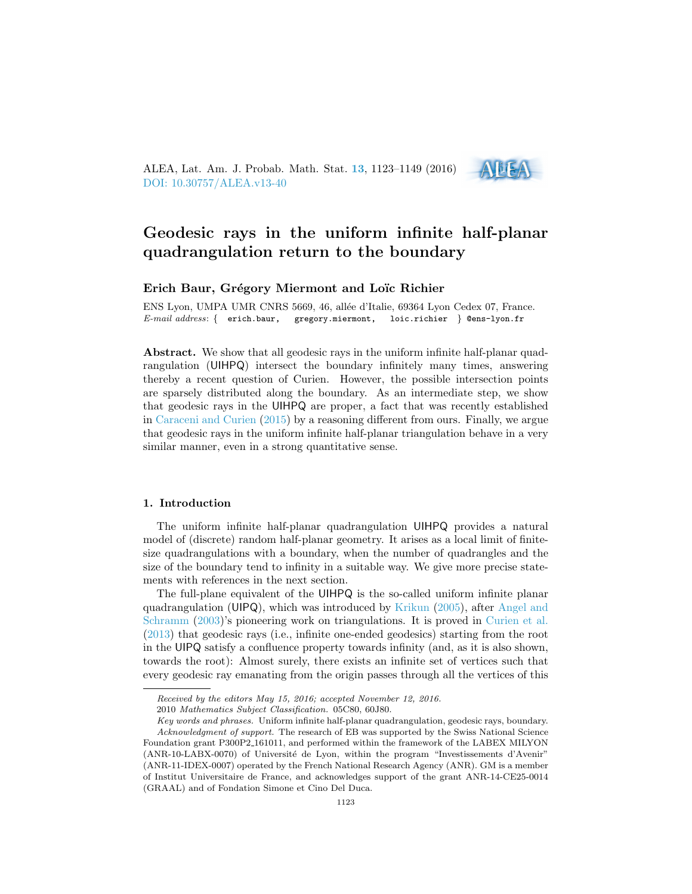ALEA, Lat. Am. J. Probab. Math. Stat. [13](http://alea.impa.br/english/index_v13.htm), 1123–1149 (2016) [DOI: 10.30757/ALEA.v13-40](https://doi.org/10.30757/ALEA.v13-40)

# Geodesic rays in the uniform infinite half-planar quadrangulation return to the boundary

ADEA

## Erich Baur, Grégory Miermont and Loïc Richier

ENS Lyon, UMPA UMR CNRS 5669, 46, allée d'Italie, 69364 Lyon Cedex 07, France. E-mail address: { erich.baur, gregory.miermont, loic.richier } @ens-lyon.fr

Abstract. We show that all geodesic rays in the uniform infinite half-planar quadrangulation (UIHPQ) intersect the boundary infinitely many times, answering thereby a recent question of Curien. However, the possible intersection points are sparsely distributed along the boundary. As an intermediate step, we show that geodesic rays in the UIHPQ are proper, a fact that was recently established in [Caraceni and Curien](#page-25-0) [\(2015\)](#page-25-0) by a reasoning different from ours. Finally, we argue that geodesic rays in the uniform infinite half-planar triangulation behave in a very similar manner, even in a strong quantitative sense.

## 1. Introduction

The uniform infinite half-planar quadrangulation UIHPQ provides a natural model of (discrete) random half-planar geometry. It arises as a local limit of finitesize quadrangulations with a boundary, when the number of quadrangles and the size of the boundary tend to infinity in a suitable way. We give more precise statements with references in the next section.

The full-plane equivalent of the UIHPQ is the so-called uniform infinite planar quadrangulation (UIPQ), which was introduced by [Krikun](#page-26-0) [\(2005\)](#page-26-0), after [Angel and](#page-25-1) [Schramm](#page-25-1) [\(2003\)](#page-25-1)'s pioneering work on triangulations. It is proved in [Curien et al.](#page-25-2) [\(2013\)](#page-25-2) that geodesic rays (i.e., infinite one-ended geodesics) starting from the root in the UIPQ satisfy a confluence property towards infinity (and, as it is also shown, towards the root): Almost surely, there exists an infinite set of vertices such that every geodesic ray emanating from the origin passes through all the vertices of this

Received by the editors May 15, 2016; accepted November 12, 2016.

<sup>2010</sup> Mathematics Subject Classification. 05C80, 60J80.

Key words and phrases. Uniform infinite half-planar quadrangulation, geodesic rays, boundary. Acknowledgment of support. The research of EB was supported by the Swiss National Science Foundation grant P300P2 161011, and performed within the framework of the LABEX MILYON (ANR-10-LABX-0070) of Université de Lyon, within the program "Investissements d'Avenir" (ANR-11-IDEX-0007) operated by the French National Research Agency (ANR). GM is a member of Institut Universitaire de France, and acknowledges support of the grant ANR-14-CE25-0014 (GRAAL) and of Fondation Simone et Cino Del Duca.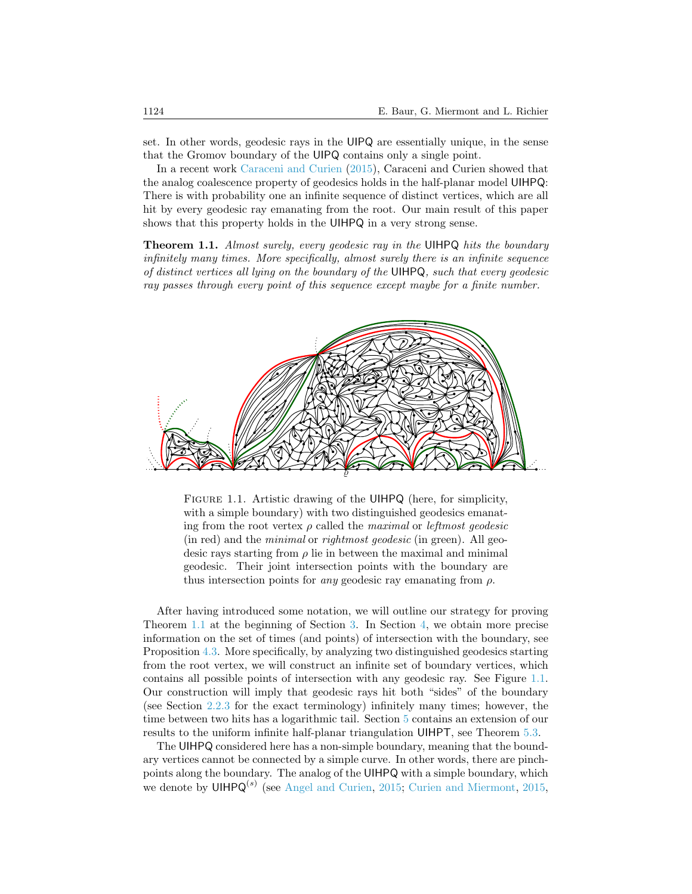set. In other words, geodesic rays in the UIPQ are essentially unique, in the sense that the Gromov boundary of the UIPQ contains only a single point.

In a recent work [Caraceni and Curien](#page-25-0) [\(2015\)](#page-25-0), Caraceni and Curien showed that the analog coalescence property of geodesics holds in the half-planar model UIHPQ: There is with probability one an infinite sequence of distinct vertices, which are all hit by every geodesic ray emanating from the root. Our main result of this paper shows that this property holds in the UIHPQ in a very strong sense.

<span id="page-1-0"></span>**Theorem 1.1.** Almost surely, every geodesic ray in the UIHPQ hits the boundary infinitely many times. More specifically, almost surely there is an infinite sequence of distinct vertices all lying on the boundary of the UIHPQ, such that every geodesic ray passes through every point of this sequence except maybe for a finite number.



<span id="page-1-1"></span>FIGURE 1.1. Artistic drawing of the UIHPQ (here, for simplicity, with a simple boundary) with two distinguished geodesics emanating from the root vertex  $\rho$  called the maximal or *leftmost geodesic* (in red) and the minimal or rightmost geodesic (in green). All geodesic rays starting from  $\rho$  lie in between the maximal and minimal geodesic. Their joint intersection points with the boundary are thus intersection points for *any* geodesic ray emanating from  $\rho$ .

After having introduced some notation, we will outline our strategy for proving Theorem [1.1](#page-1-0) at the beginning of Section [3.](#page-7-0) In Section [4,](#page-16-0) we obtain more precise information on the set of times (and points) of intersection with the boundary, see Proposition [4.3.](#page-18-0) More specifically, by analyzing two distinguished geodesics starting from the root vertex, we will construct an infinite set of boundary vertices, which contains all possible points of intersection with any geodesic ray. See Figure [1.1.](#page-1-1) Our construction will imply that geodesic rays hit both "sides" of the boundary (see Section [2.2.3](#page-6-0) for the exact terminology) infinitely many times; however, the time between two hits has a logarithmic tail. Section [5](#page-18-1) contains an extension of our results to the uniform infinite half-planar triangulation UIHPT, see Theorem [5.3.](#page-24-0)

The UIHPQ considered here has a non-simple boundary, meaning that the boundary vertices cannot be connected by a simple curve. In other words, there are pinchpoints along the boundary. The analog of the UIHPQ with a simple boundary, which we denote by  $UHPQ^{(s)}$  (see [Angel and Curien,](#page-25-3) [2015;](#page-25-3) [Curien and Miermont,](#page-25-4) [2015,](#page-25-4)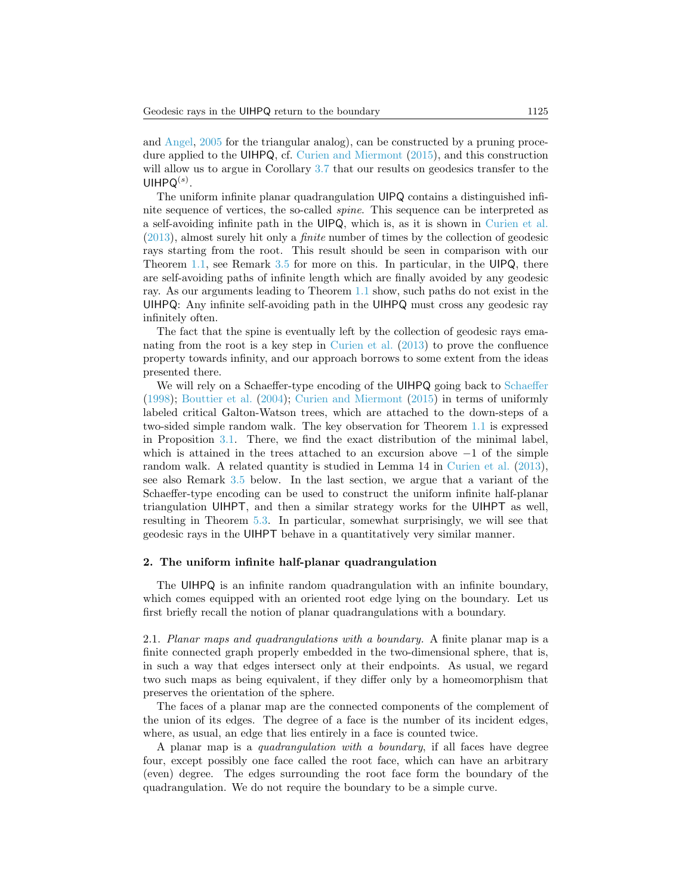and [Angel,](#page-25-5) [2005](#page-25-5) for the triangular analog), can be constructed by a pruning procedure applied to the UIHPQ, cf. [Curien and Miermont](#page-25-4) [\(2015\)](#page-25-4), and this construction will allow us to argue in Corollary [3.7](#page-15-0) that our results on geodesics transfer to the  $U$ IHPQ $^{(s)}$ .

The uniform infinite planar quadrangulation UIPQ contains a distinguished infinite sequence of vertices, the so-called spine. This sequence can be interpreted as a self-avoiding infinite path in the UIPQ, which is, as it is shown in [Curien et al.](#page-25-2) [\(2013\)](#page-25-2), almost surely hit only a finite number of times by the collection of geodesic rays starting from the root. This result should be seen in comparison with our Theorem [1.1,](#page-1-0) see Remark [3.5](#page-13-0) for more on this. In particular, in the UIPQ, there are self-avoiding paths of infinite length which are finally avoided by any geodesic ray. As our arguments leading to Theorem [1.1](#page-1-0) show, such paths do not exist in the UIHPQ: Any infinite self-avoiding path in the UIHPQ must cross any geodesic ray infinitely often.

The fact that the spine is eventually left by the collection of geodesic rays emanating from the root is a key step in [Curien et al.](#page-25-2) [\(2013\)](#page-25-2) to prove the confluence property towards infinity, and our approach borrows to some extent from the ideas presented there.

We will rely on a [Schaeffer](#page-26-1)-type encoding of the UIHPQ going back to Schaeffer [\(1998\)](#page-26-1); [Bouttier et al.](#page-25-6) [\(2004\)](#page-25-6); [Curien and Miermont](#page-25-4) [\(2015\)](#page-25-4) in terms of uniformly labeled critical Galton-Watson trees, which are attached to the down-steps of a two-sided simple random walk. The key observation for Theorem [1.1](#page-1-0) is expressed in Proposition [3.1.](#page-9-0) There, we find the exact distribution of the minimal label, which is attained in the trees attached to an excursion above  $-1$  of the simple random walk. A related quantity is studied in Lemma 14 in [Curien et al.](#page-25-2) [\(2013\)](#page-25-2), see also Remark [3.5](#page-13-0) below. In the last section, we argue that a variant of the Schaeffer-type encoding can be used to construct the uniform infinite half-planar triangulation UIHPT, and then a similar strategy works for the UIHPT as well, resulting in Theorem [5.3.](#page-24-0) In particular, somewhat surprisingly, we will see that geodesic rays in the UIHPT behave in a quantitatively very similar manner.

#### 2. The uniform infinite half-planar quadrangulation

The UIHPQ is an infinite random quadrangulation with an infinite boundary, which comes equipped with an oriented root edge lying on the boundary. Let us first briefly recall the notion of planar quadrangulations with a boundary.

2.1. Planar maps and quadrangulations with a boundary. A finite planar map is a finite connected graph properly embedded in the two-dimensional sphere, that is, in such a way that edges intersect only at their endpoints. As usual, we regard two such maps as being equivalent, if they differ only by a homeomorphism that preserves the orientation of the sphere.

The faces of a planar map are the connected components of the complement of the union of its edges. The degree of a face is the number of its incident edges, where, as usual, an edge that lies entirely in a face is counted twice.

A planar map is a quadrangulation with a boundary, if all faces have degree four, except possibly one face called the root face, which can have an arbitrary (even) degree. The edges surrounding the root face form the boundary of the quadrangulation. We do not require the boundary to be a simple curve.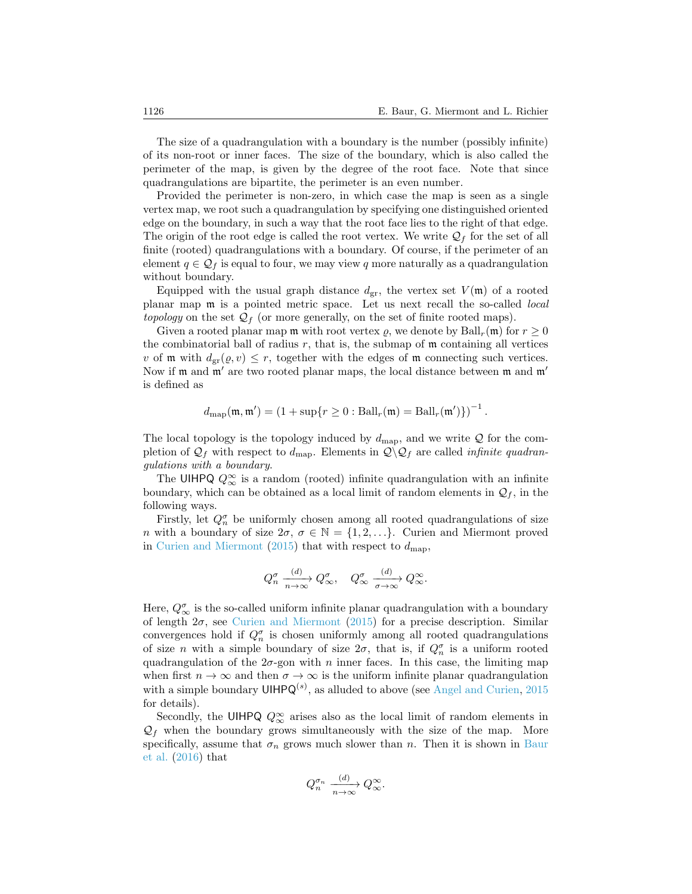The size of a quadrangulation with a boundary is the number (possibly infinite) of its non-root or inner faces. The size of the boundary, which is also called the perimeter of the map, is given by the degree of the root face. Note that since quadrangulations are bipartite, the perimeter is an even number.

Provided the perimeter is non-zero, in which case the map is seen as a single vertex map, we root such a quadrangulation by specifying one distinguished oriented edge on the boundary, in such a way that the root face lies to the right of that edge. The origin of the root edge is called the root vertex. We write  $\mathcal{Q}_f$  for the set of all finite (rooted) quadrangulations with a boundary. Of course, if the perimeter of an element  $q \in \mathcal{Q}_f$  is equal to four, we may view q more naturally as a quadrangulation without boundary.

Equipped with the usual graph distance  $d_{gr}$ , the vertex set  $V(\mathfrak{m})$  of a rooted planar map m is a pointed metric space. Let us next recall the so-called local *topology* on the set  $\mathcal{Q}_f$  (or more generally, on the set of finite rooted maps).

Given a rooted planar map  $\mathfrak m$  with root vertex  $\rho$ , we denote by  $\text{Ball}_r(\mathfrak m)$  for  $r \geq 0$ the combinatorial ball of radius  $r$ , that is, the submap of  $\mathfrak m$  containing all vertices v of m with  $d_{gr}(\varrho, v) \leq r$ , together with the edges of m connecting such vertices. Now if  $m$  and  $m'$  are two rooted planar maps, the local distance between  $m$  and  $m'$ is defined as

$$
d_{\text{map}}(\mathfrak{m}, \mathfrak{m}') = \left(1 + \sup\{r \ge 0 : \text{Ball}_r(\mathfrak{m}) = \text{Ball}_r(\mathfrak{m}')\}\right)^{-1}.
$$

The local topology is the topology induced by  $d_{\text{map}}$ , and we write Q for the completion of  $\mathcal{Q}_f$  with respect to  $d_{\text{map}}$ . Elements in  $\mathcal{Q}\backslash\mathcal{Q}_f$  are called *infinite quadran*gulations with a boundary.

The UIHPQ  $Q_{\infty}^{\infty}$  is a random (rooted) infinite quadrangulation with an infinite boundary, which can be obtained as a local limit of random elements in  $\mathcal{Q}_f$ , in the following ways.

Firstly, let  $Q_n^{\sigma}$  be uniformly chosen among all rooted quadrangulations of size *n* with a boundary of size  $2\sigma$ ,  $\sigma \in \mathbb{N} = \{1, 2, ...\}$ . Curien and Miermont proved in [Curien and Miermont](#page-25-4) [\(2015\)](#page-25-4) that with respect to  $d_{\text{map}}$ ,

$$
Q_n^{\sigma} \xrightarrow[n \to \infty]{(d)} Q_{\infty}^{\sigma}, \quad Q_{\infty}^{\sigma} \xrightarrow[\sigma \to \infty]{(d)} Q_{\infty}^{\infty}.
$$

Here,  $Q^{\sigma}_{\infty}$  is the so-called uniform infinite planar quadrangulation with a boundary of length  $2\sigma$ , see [Curien and Miermont](#page-25-4) [\(2015\)](#page-25-4) for a precise description. Similar convergences hold if  $Q_n^{\sigma}$  is chosen uniformly among all rooted quadrangulations of size n with a simple boundary of size  $2\sigma$ , that is, if  $Q_n^{\sigma}$  is a uniform rooted quadrangulation of the  $2\sigma$ -gon with n inner faces. In this case, the limiting map when first  $n \to \infty$  and then  $\sigma \to \infty$  is the uniform infinite planar quadrangulation with a simple boundary  $UH P Q^{(s)}$ , as alluded to above (see [Angel and Curien,](#page-25-3) [2015](#page-25-3) for details).

Secondly, the UIHPQ  $Q_{\infty}^{\infty}$  arises also as the local limit of random elements in  $\mathcal{Q}_f$  when the boundary grows simultaneously with the size of the map. More specifically, assume that  $\sigma_n$  grows much slower than n. Then it is shown in [Baur](#page-25-7) [et al.](#page-25-7) [\(2016\)](#page-25-7) that

$$
Q_n^{\sigma_n} \xrightarrow[n \to \infty]{(d)} Q_\infty^{\infty}.
$$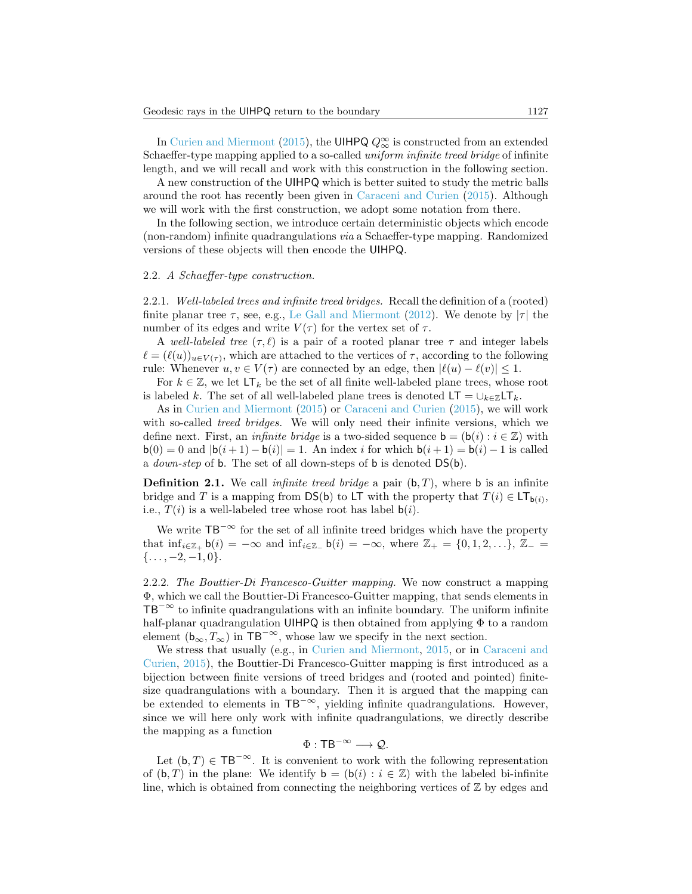In [Curien and Miermont](#page-25-4) [\(2015\)](#page-25-4), the UIHPQ  $Q_{\infty}^{\infty}$  is constructed from an extended Schaeffer-type mapping applied to a so-called *uniform infinite treed bridge* of infinite length, and we will recall and work with this construction in the following section.

A new construction of the UIHPQ which is better suited to study the metric balls around the root has recently been given in [Caraceni and Curien](#page-25-0) [\(2015\)](#page-25-0). Although we will work with the first construction, we adopt some notation from there.

In the following section, we introduce certain deterministic objects which encode (non-random) infinite quadrangulations via a Schaeffer-type mapping. Randomized versions of these objects will then encode the UIHPQ.

#### 2.2. A Schaeffer-type construction.

2.2.1. Well-labeled trees and infinite treed bridges. Recall the definition of a (rooted) finite planar tree  $\tau$ , see, e.g., [Le Gall and Miermont](#page-26-2) [\(2012\)](#page-26-2). We denote by  $|\tau|$  the number of its edges and write  $V(\tau)$  for the vertex set of  $\tau$ .

A well-labeled tree  $(\tau, \ell)$  is a pair of a rooted planar tree  $\tau$  and integer labels  $\ell = (\ell(u))_{u \in V(\tau)}$ , which are attached to the vertices of  $\tau$ , according to the following rule: Whenever  $u, v \in V(\tau)$  are connected by an edge, then  $|\ell(u) - \ell(v)| \leq 1$ .

For  $k \in \mathbb{Z}$ , we let  $LT_k$  be the set of all finite well-labeled plane trees, whose root is labeled k. The set of all well-labeled plane trees is denoted  $LT = \bigcup_{k \in \mathbb{Z}} LT_k$ .

As in [Curien and Miermont](#page-25-4) [\(2015\)](#page-25-4) or [Caraceni and Curien](#page-25-0) [\(2015\)](#page-25-0), we will work with so-called *treed bridges*. We will only need their infinite versions, which we define next. First, an *infinite bridge* is a two-sided sequence  $\mathbf{b} = (\mathbf{b}(i) : i \in \mathbb{Z})$  with  $b(0) = 0$  and  $|b(i + 1) - b(i)| = 1$ . An index i for which  $b(i + 1) = b(i) - 1$  is called a down-step of b. The set of all down-steps of b is denoted DS(b).

**Definition 2.1.** We call *infinite treed bridge* a pair  $(b, T)$ , where **b** is an infinite bridge and T is a mapping from  $DS(b)$  to LT with the property that  $T(i) \in LT_{b(i)}$ , i.e.,  $T(i)$  is a well-labeled tree whose root has label  $b(i)$ .

We write  $TB^{-\infty}$  for the set of all infinite treed bridges which have the property that  $\inf_{i\in\mathbb{Z}_+} \mathsf{b}(i) = -\infty$  and  $\inf_{i\in\mathbb{Z}_-} \mathsf{b}(i) = -\infty$ , where  $\mathbb{Z}_+ = \{0,1,2,\ldots\},\ \mathbb{Z}_- =$  $\{\ldots, -2, -1, 0\}.$ 

<span id="page-4-0"></span>2.2.2. The Bouttier-Di Francesco-Guitter mapping. We now construct a mapping Φ, which we call the Bouttier-Di Francesco-Guitter mapping, that sends elements in  $TB<sup>−∞</sup>$  to infinite quadrangulations with an infinite boundary. The uniform infinite half-planar quadrangulation UIHPQ is then obtained from applying Φ to a random element ( $b_{\infty}, T_{\infty}$ ) in TB<sup>-∞</sup>, whose law we specify in the next section.

We stress that usually (e.g., in [Curien and Miermont,](#page-25-4) [2015,](#page-25-4) or in [Caraceni and](#page-25-0) [Curien,](#page-25-0) [2015\)](#page-25-0), the Bouttier-Di Francesco-Guitter mapping is first introduced as a bijection between finite versions of treed bridges and (rooted and pointed) finitesize quadrangulations with a boundary. Then it is argued that the mapping can be extended to elements in  $TB^{-\infty}$ , yielding infinite quadrangulations. However, since we will here only work with infinite quadrangulations, we directly describe the mapping as a function

$$
\Phi: \mathsf{T}\mathsf{B}^{-\infty}\longrightarrow \mathcal{Q}.
$$

Let  $(b, T) \in TB^{-\infty}$ . It is convenient to work with the following representation of  $(b, T)$  in the plane: We identify  $b = (b(i) : i \in \mathbb{Z})$  with the labeled bi-infinite line, which is obtained from connecting the neighboring vertices of  $\mathbb Z$  by edges and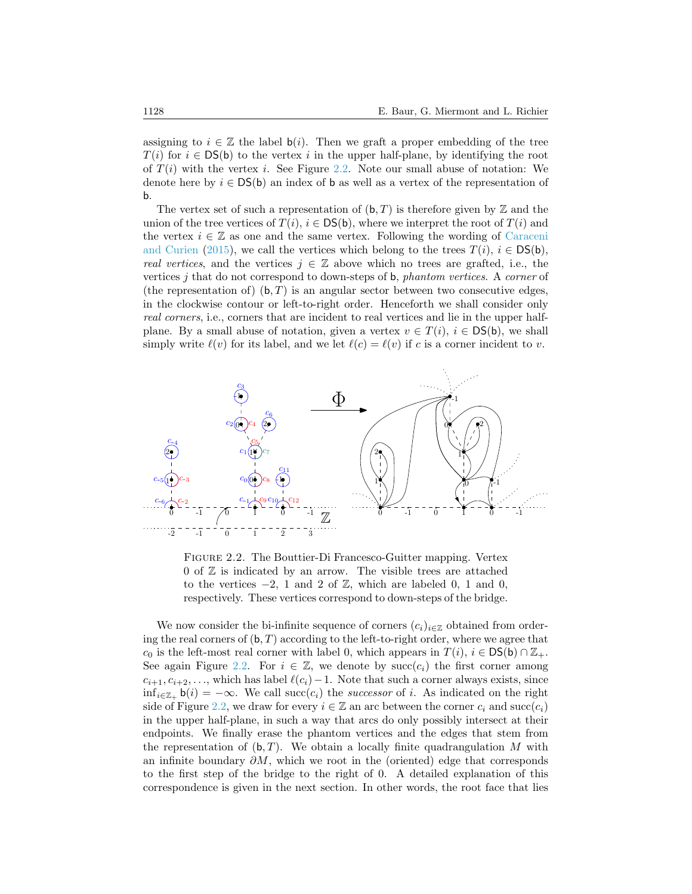assigning to  $i \in \mathbb{Z}$  the label  $b(i)$ . Then we graft a proper embedding of the tree  $T(i)$  for  $i \in \text{DS(b)}$  to the vertex i in the upper half-plane, by identifying the root of  $T(i)$  with the vertex i. See Figure [2.2.](#page-5-0) Note our small abuse of notation: We denote here by  $i \in DS(b)$  an index of b as well as a vertex of the representation of b.

The vertex set of such a representation of  $(b, T)$  is therefore given by  $\mathbb Z$  and the union of the tree vertices of  $T(i)$ ,  $i \in \text{DS(b)}$ , where we interpret the root of  $T(i)$  and the vertex  $i \in \mathbb{Z}$  as one and the same vertex. Following the wording of [Caraceni](#page-25-0) [and Curien](#page-25-0) [\(2015\)](#page-25-0), we call the vertices which belong to the trees  $T(i)$ ,  $i \in DS(b)$ , real vertices, and the vertices  $j \in \mathbb{Z}$  above which no trees are grafted, i.e., the vertices  $j$  that do not correspond to down-steps of b, *phantom vertices.* A *corner* of (the representation of)  $(b, T)$  is an angular sector between two consecutive edges, in the clockwise contour or left-to-right order. Henceforth we shall consider only real corners, i.e., corners that are incident to real vertices and lie in the upper halfplane. By a small abuse of notation, given a vertex  $v \in T(i)$ ,  $i \in DS(b)$ , we shall simply write  $\ell(v)$  for its label, and we let  $\ell(c) = \ell(v)$  if c is a corner incident to v.



<span id="page-5-0"></span>Figure 2.2. The Bouttier-Di Francesco-Guitter mapping. Vertex 0 of  $\mathbb Z$  is indicated by an arrow. The visible trees are attached to the vertices  $-2$ , 1 and 2 of  $\mathbb{Z}$ , which are labeled 0, 1 and 0, respectively. These vertices correspond to down-steps of the bridge.

We now consider the bi-infinite sequence of corners  $(c_i)_{i\in\mathbb{Z}}$  obtained from ordering the real corners of  $(b, T)$  according to the left-to-right order, where we agree that  $c_0$  is the left-most real corner with label 0, which appears in  $T(i)$ ,  $i \in DS(b) \cap \mathbb{Z}_+$ . See again Figure [2.2.](#page-5-0) For  $i \in \mathbb{Z}$ , we denote by succ $(c_i)$  the first corner among  $c_{i+1}, c_{i+2}, \ldots$ , which has label  $\ell(c_i)-1$ . Note that such a corner always exists, since  $\inf_{i\in\mathbb{Z}_+}$  b(i) =  $-\infty$ . We call succ(c<sub>i</sub>) the successor of i. As indicated on the right side of Figure [2.2,](#page-5-0) we draw for every  $i \in \mathbb{Z}$  an arc between the corner  $c_i$  and  $succ(c_i)$ in the upper half-plane, in such a way that arcs do only possibly intersect at their endpoints. We finally erase the phantom vertices and the edges that stem from the representation of  $(b, T)$ . We obtain a locally finite quadrangulation M with an infinite boundary  $\partial M$ , which we root in the (oriented) edge that corresponds to the first step of the bridge to the right of 0. A detailed explanation of this correspondence is given in the next section. In other words, the root face that lies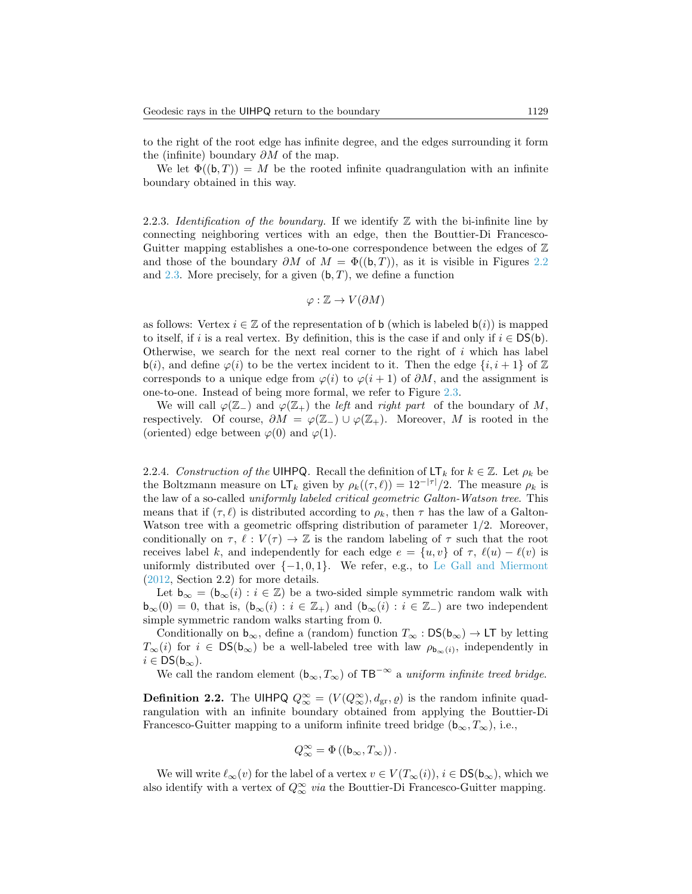to the right of the root edge has infinite degree, and the edges surrounding it form the (infinite) boundary  $\partial M$  of the map.

We let  $\Phi((\mathbf{b}, T)) = M$  be the rooted infinite quadrangulation with an infinite boundary obtained in this way.

<span id="page-6-0"></span>2.2.3. Identification of the boundary. If we identify  $\mathbb Z$  with the bi-infinite line by connecting neighboring vertices with an edge, then the Bouttier-Di Francesco-Guitter mapping establishes a one-to-one correspondence between the edges of  $\mathbb Z$ and those of the boundary  $\partial M$  of  $M = \Phi((b, T))$ , as it is visible in Figures [2.2](#page-5-0) and [2.3.](#page-8-0) More precisely, for a given  $(b, T)$ , we define a function

$$
\varphi : \mathbb{Z} \to V(\partial M)
$$

as follows: Vertex  $i \in \mathbb{Z}$  of the representation of b (which is labeled  $b(i)$ ) is mapped to itself, if i is a real vertex. By definition, this is the case if and only if  $i \in DS(b)$ . Otherwise, we search for the next real corner to the right of  $i$  which has label b(i), and define  $\varphi(i)$  to be the vertex incident to it. Then the edge  $\{i, i+1\}$  of  $\mathbb Z$ corresponds to a unique edge from  $\varphi(i)$  to  $\varphi(i+1)$  of  $\partial M$ , and the assignment is one-to-one. Instead of being more formal, we refer to Figure [2.3.](#page-8-0)

We will call  $\varphi(\mathbb{Z}_-)$  and  $\varphi(\mathbb{Z}_+)$  the left and right part of the boundary of M, respectively. Of course,  $\partial M = \varphi(\mathbb{Z}_+) \cup \varphi(\mathbb{Z}_+)$ . Moreover, M is rooted in the (oriented) edge between  $\varphi(0)$  and  $\varphi(1)$ .

<span id="page-6-1"></span>2.2.4. Construction of the UIHPQ. Recall the definition of  $LT_k$  for  $k \in \mathbb{Z}$ . Let  $\rho_k$  be the Boltzmann measure on  $LT_k$  given by  $\rho_k((\tau, \ell)) = 12^{-|\tau|}/2$ . The measure  $\rho_k$  is the law of a so-called uniformly labeled critical geometric Galton-Watson tree. This means that if  $(\tau, \ell)$  is distributed according to  $\rho_k$ , then  $\tau$  has the law of a Galton-Watson tree with a geometric offspring distribution of parameter  $1/2$ . Moreover, conditionally on  $\tau$ ,  $\ell : V(\tau) \to \mathbb{Z}$  is the random labeling of  $\tau$  such that the root receives label k, and independently for each edge  $e = \{u, v\}$  of  $\tau$ ,  $\ell(u) - \ell(v)$  is uniformly distributed over  $\{-1, 0, 1\}$ . We refer, e.g., to [Le Gall and Miermont](#page-26-2) [\(2012,](#page-26-2) Section 2.2) for more details.

Let  $\mathbf{b}_{\infty} = (\mathbf{b}_{\infty}(i) : i \in \mathbb{Z})$  be a two-sided simple symmetric random walk with  $\mathsf{b}_{\infty}(0) = 0$ , that is,  $(\mathsf{b}_{\infty}(i) : i \in \mathbb{Z}_+)$  and  $(\mathsf{b}_{\infty}(i) : i \in \mathbb{Z}_-)$  are two independent simple symmetric random walks starting from 0.

Conditionally on  $b_{\infty}$ , define a (random) function  $T_{\infty} : DS(b_{\infty}) \to LT$  by letting  $T_{\infty}(i)$  for  $i \in \text{DS}(\mathfrak{b}_{\infty})$  be a well-labeled tree with law  $\rho_{\mathfrak{b}_{\infty}(i)}$ , independently in  $i \in \text{DS}(b_{\infty}).$ 

We call the random element  $(b_{\infty}, T_{\infty})$  of TB<sup>-∞</sup> a *uniform infinite treed bridge*.

**Definition 2.2.** The UIHPQ  $Q_{\infty}^{\infty} = (V(Q_{\infty}^{\infty}), d_{\text{gr}}, \varrho)$  is the random infinite quadrangulation with an infinite boundary obtained from applying the Bouttier-Di Francesco-Guitter mapping to a uniform infinite treed bridge  $(b_{\infty}, T_{\infty})$ , i.e.,

$$
Q_{\infty}^{\infty} = \Phi((\mathsf{b}_{\infty}, T_{\infty}))\,.
$$

We will write  $\ell_{\infty}(v)$  for the label of a vertex  $v \in V(T_{\infty}(i)), i \in \text{DS}(\mathbf{b}_{\infty}),$  which we also identify with a vertex of  $Q_{\infty}^{\infty}$  via the Bouttier-Di Francesco-Guitter mapping.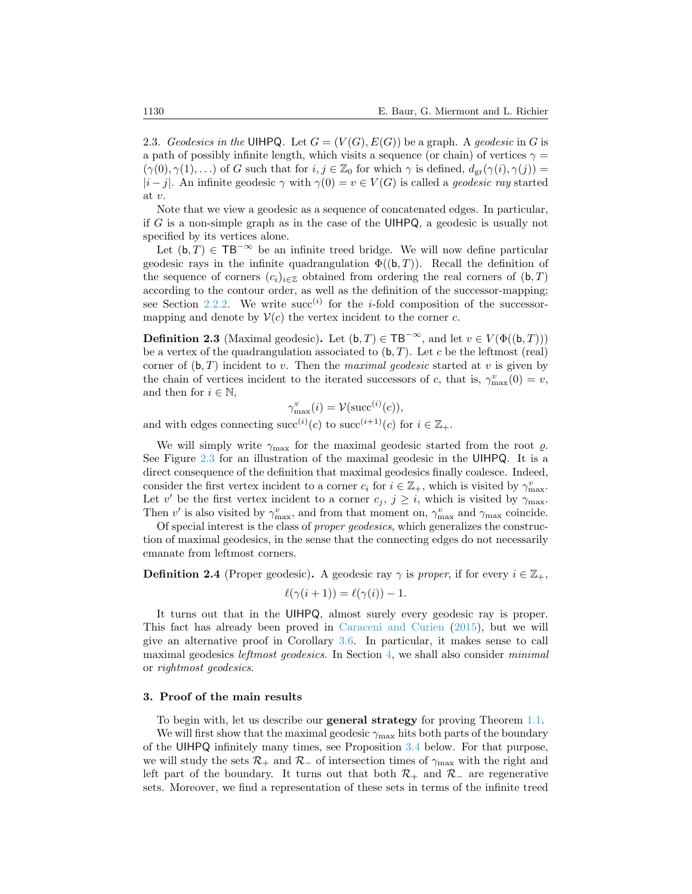2.3. Geodesics in the UIHPQ. Let  $G = (V(G), E(G))$  be a graph. A geodesic in G is a path of possibly infinite length, which visits a sequence (or chain) of vertices  $\gamma =$  $(\gamma(0), \gamma(1), ...)$  of G such that for  $i, j \in \mathbb{Z}_0$  for which  $\gamma$  is defined,  $d_{\text{gr}}(\gamma(i), \gamma(j)) =$  $|i-j|$ . An infinite geodesic  $\gamma$  with  $\gamma(0) = v \in V(G)$  is called a *geodesic ray* started at v.

Note that we view a geodesic as a sequence of concatenated edges. In particular, if G is a non-simple graph as in the case of the UIHPQ, a geodesic is usually not specified by its vertices alone.

Let  $(b, T) \in TB^{-\infty}$  be an infinite treed bridge. We will now define particular geodesic rays in the infinite quadrangulation  $\Phi((b, T))$ . Recall the definition of the sequence of corners  $(c_i)_{i\in\mathbb{Z}}$  obtained from ordering the real corners of  $(b, T)$ according to the contour order, as well as the definition of the successor-mapping; see Section [2.2.2.](#page-4-0) We write succ<sup>(i)</sup> for the *i*-fold composition of the successormapping and denote by  $V(c)$  the vertex incident to the corner c.

**Definition 2.3** (Maximal geodesic). Let  $(b, T) \in TB^{-\infty}$ , and let  $v \in V(\Phi((b, T)))$ be a vertex of the quadrangulation associated to  $(b, T)$ . Let c be the leftmost (real) corner of  $(b, T)$  incident to v. Then the maximal geodesic started at v is given by the chain of vertices incident to the iterated successors of c, that is,  $\gamma_{\text{max}}^v(0) = v$ , and then for  $i \in \mathbb{N}$ ,

$$
\gamma_{\max}^v(i) = \mathcal{V}(\text{succ}^{(i)}(c)),
$$

and with edges connecting succ<sup>(i)</sup>(c) to succ<sup>(i+1)</sup>(c) for  $i \in \mathbb{Z}_+$ .

We will simply write  $\gamma_{\text{max}}$  for the maximal geodesic started from the root  $\rho$ . See Figure [2.3](#page-8-0) for an illustration of the maximal geodesic in the UIHPQ. It is a direct consequence of the definition that maximal geodesics finally coalesce. Indeed, consider the first vertex incident to a corner  $c_i$  for  $i \in \mathbb{Z}_+$ , which is visited by  $\gamma_{\max}^v$ . Let v' be the first vertex incident to a corner  $c_j, j \geq i$ , which is visited by  $\gamma_{\text{max}}$ . Then v' is also visited by  $\gamma_{\text{max}}^v$ , and from that moment on,  $\gamma_{\text{max}}^v$  and  $\gamma_{\text{max}}$  coincide.

Of special interest is the class of proper geodesics, which generalizes the construction of maximal geodesics, in the sense that the connecting edges do not necessarily emanate from leftmost corners.

**Definition 2.4** (Proper geodesic). A geodesic ray  $\gamma$  is proper, if for every  $i \in \mathbb{Z}_+$ ,

$$
\ell(\gamma(i+1)) = \ell(\gamma(i)) - 1.
$$

It turns out that in the UIHPQ, almost surely every geodesic ray is proper. This fact has already been proved in [Caraceni and Curien](#page-25-0) [\(2015\)](#page-25-0), but we will give an alternative proof in Corollary [3.6.](#page-14-0) In particular, it makes sense to call maximal geodesics leftmost geodesics. In Section [4,](#page-16-0) we shall also consider minimal or rightmost geodesics.

### <span id="page-7-0"></span>3. Proof of the main results

To begin with, let us describe our general strategy for proving Theorem [1.1.](#page-1-0) We will first show that the maximal geodesic  $\gamma_{\rm max}$  hits both parts of the boundary of the UIHPQ infinitely many times, see Proposition [3.4](#page-13-1) below. For that purpose,

we will study the sets  $\mathcal{R}_+$  and  $\mathcal{R}_-$  of intersection times of  $\gamma_{\text{max}}$  with the right and left part of the boundary. It turns out that both  $\mathcal{R}_+$  and  $\mathcal{R}_-$  are regenerative sets. Moreover, we find a representation of these sets in terms of the infinite treed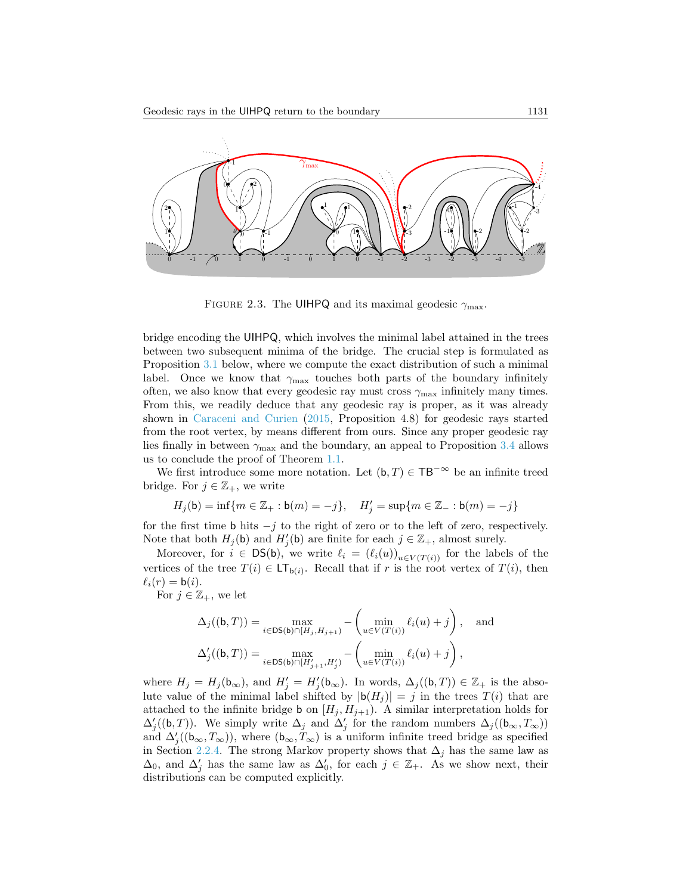

<span id="page-8-0"></span>FIGURE 2.3. The UIHPQ and its maximal geodesic  $\gamma_{\text{max}}$ .

bridge encoding the UIHPQ, which involves the minimal label attained in the trees between two subsequent minima of the bridge. The crucial step is formulated as Proposition [3.1](#page-9-0) below, where we compute the exact distribution of such a minimal label. Once we know that  $\gamma_{\text{max}}$  touches both parts of the boundary infinitely often, we also know that every geodesic ray must cross  $\gamma_{\text{max}}$  infinitely many times. From this, we readily deduce that any geodesic ray is proper, as it was already shown in [Caraceni and Curien](#page-25-0) [\(2015,](#page-25-0) Proposition 4.8) for geodesic rays started from the root vertex, by means different from ours. Since any proper geodesic ray lies finally in between  $\gamma_{\text{max}}$  and the boundary, an appeal to Proposition [3.4](#page-13-1) allows us to conclude the proof of Theorem [1.1.](#page-1-0)

We first introduce some more notation. Let  $(b, T) \in TB^{-\infty}$  be an infinite treed bridge. For  $j \in \mathbb{Z}_+$ , we write

$$
H_j(\mathbf{b}) = \inf \{ m \in \mathbb{Z}_+ : \mathbf{b}(m) = -j \}, \quad H'_j = \sup \{ m \in \mathbb{Z}_- : \mathbf{b}(m) = -j \}
$$

for the first time b hits  $-j$  to the right of zero or to the left of zero, respectively. Note that both  $H_j(\mathbf{b})$  and  $H'_j(\mathbf{b})$  are finite for each  $j \in \mathbb{Z}_+$ , almost surely.

Moreover, for  $i \in \text{DS(b)}$ , we write  $\ell_i = (\ell_i(u))_{u \in V(T(i))}$  for the labels of the vertices of the tree  $T(i) \in \mathsf{LT}_{\mathsf{b}(i)}$ . Recall that if r is the root vertex of  $T(i)$ , then  $\ell_i(r) = b(i).$ 

For  $j \in \mathbb{Z}_+$ , we let

$$
\Delta_j((\mathbf{b}, T)) = \max_{i \in \text{DS}(\mathbf{b}) \cap [H_j, H_{j+1})} - \left(\min_{u \in V(T(i))} \ell_i(u) + j\right), \text{ and}
$$

$$
\Delta'_j((\mathbf{b}, T)) = \max_{i \in \text{DS}(\mathbf{b}) \cap [H'_{j+1}, H'_j)} - \left(\min_{u \in V(T(i))} \ell_i(u) + j\right),
$$

where  $H_j = H_j(\mathbf{b}_{\infty})$ , and  $H'_j = H'_j(\mathbf{b}_{\infty})$ . In words,  $\Delta_j((\mathbf{b}, T)) \in \mathbb{Z}_+$  is the absolute value of the minimal label shifted by  $|b(H_j)| = j$  in the trees  $T(i)$  that are attached to the infinite bridge **b** on  $[H_j, H_{j+1})$ . A similar interpretation holds for  $\Delta'_{j}((\mathbf{b},T))$ . We simply write  $\Delta_{j}$  and  $\Delta'_{j}$  for the random numbers  $\Delta_{j}((\mathbf{b}_{\infty},T_{\infty}))$ and  $\Delta'_{j}((\mathfrak{b}_{\infty},T_{\infty}))$ , where  $(\mathfrak{b}_{\infty},T_{\infty})$  is a uniform infinite treed bridge as specified in Section [2.2.4.](#page-6-1) The strong Markov property shows that  $\Delta_j$  has the same law as  $\Delta_0$ , and  $\Delta'_j$  has the same law as  $\Delta'_0$ , for each  $j \in \mathbb{Z}_+$ . As we show next, their distributions can be computed explicitly.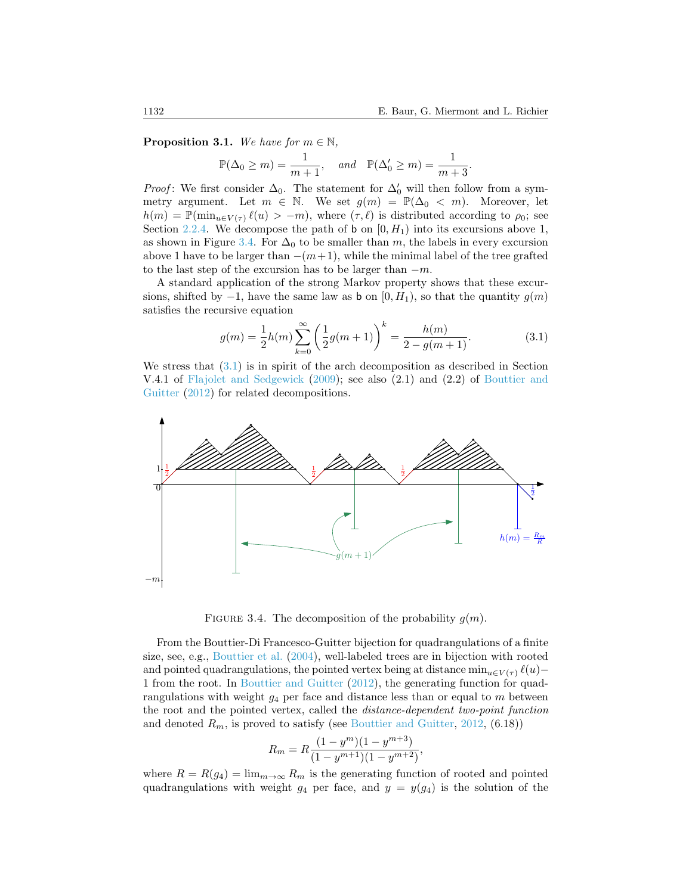<span id="page-9-0"></span>**Proposition 3.1.** We have for  $m \in \mathbb{N}$ ,

$$
\mathbb{P}(\Delta_0 \ge m) = \frac{1}{m+1}, \quad and \quad \mathbb{P}(\Delta'_0 \ge m) = \frac{1}{m+3}.
$$

*Proof*: We first consider  $\Delta_0$ . The statement for  $\Delta'_0$  will then follow from a symmetry argument. Let  $m \in \mathbb{N}$ . We set  $g(m) = \mathbb{P}(\Delta_0 < m)$ . Moreover, let  $h(m) = \mathbb{P}(\min_{u \in V(\tau)} \ell(u) > -m)$ , where  $(\tau, \ell)$  is distributed according to  $\rho_0$ ; see Section [2.2.4.](#page-6-1) We decompose the path of **b** on  $[0, H_1)$  into its excursions above 1, as shown in Figure [3.4.](#page-9-1) For  $\Delta_0$  to be smaller than m, the labels in every excursion above 1 have to be larger than  $-(m+1)$ , while the minimal label of the tree grafted to the last step of the excursion has to be larger than  $-m$ .

A standard application of the strong Markov property shows that these excursions, shifted by  $-1$ , have the same law as b on  $[0, H_1)$ , so that the quantity  $g(m)$ satisfies the recursive equation

<span id="page-9-2"></span>
$$
g(m) = \frac{1}{2}h(m)\sum_{k=0}^{\infty} \left(\frac{1}{2}g(m+1)\right)^k = \frac{h(m)}{2 - g(m+1)}.
$$
 (3.1)

We stress that  $(3.1)$  is in spirit of the arch decomposition as described in Section V.4.1 of [Flajolet and Sedgewick](#page-25-8) [\(2009\)](#page-25-8); see also (2.1) and (2.2) of [Bouttier and](#page-25-9) [Guitter](#page-25-9) [\(2012\)](#page-25-9) for related decompositions.



<span id="page-9-1"></span>FIGURE 3.4. The decomposition of the probability  $g(m)$ .

From the Bouttier-Di Francesco-Guitter bijection for quadrangulations of a finite size, see, e.g., [Bouttier et al.](#page-25-6) [\(2004\)](#page-25-6), well-labeled trees are in bijection with rooted and pointed quadrangulations, the pointed vertex being at distance  $\min_{u \in V(\tau)} \ell(u)$ – 1 from the root. In [Bouttier and Guitter](#page-25-9) [\(2012\)](#page-25-9), the generating function for quadrangulations with weight  $q_4$  per face and distance less than or equal to m between the root and the pointed vertex, called the distance-dependent two-point function and denoted  $R_m$ , is proved to satisfy (see [Bouttier and Guitter,](#page-25-9) [2012,](#page-25-9) (6.18))

$$
R_m = R \frac{(1 - y^m)(1 - y^{m+3})}{(1 - y^{m+1})(1 - y^{m+2})},
$$

where  $R = R(g_4) = \lim_{m \to \infty} R_m$  is the generating function of rooted and pointed quadrangulations with weight  $g_4$  per face, and  $y = y(g_4)$  is the solution of the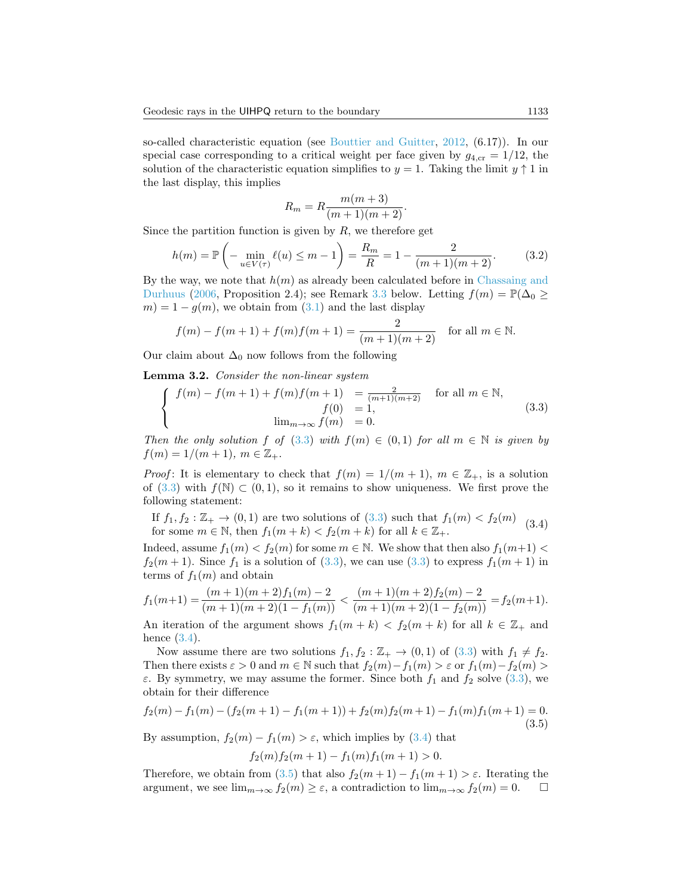so-called characteristic equation (see [Bouttier and Guitter,](#page-25-9) [2012,](#page-25-9) (6.17)). In our special case corresponding to a critical weight per face given by  $g_{4,\text{cr}} = 1/12$ , the solution of the characteristic equation simplifies to  $y = 1$ . Taking the limit  $y \uparrow 1$  in the last display, this implies

$$
R_m = R \frac{m(m+3)}{(m+1)(m+2)}.
$$

Since the partition function is given by  $R$ , we therefore get

<span id="page-10-3"></span>
$$
h(m) = \mathbb{P}\left(-\min_{u \in V(\tau)} \ell(u) \le m - 1\right) = \frac{R_m}{R} = 1 - \frac{2}{(m+1)(m+2)}.\tag{3.2}
$$

By the way, we note that  $h(m)$  as already been calculated before in [Chassaing and](#page-25-10) [Durhuus](#page-25-10) [\(2006,](#page-25-10) Proposition 2.4); see Remark [3.3](#page-11-0) below. Letting  $f(m) = \mathbb{P}(\Delta_0 \geq$  $m = 1 - g(m)$ , we obtain from  $(3.1)$  and the last display

$$
f(m) - f(m+1) + f(m)f(m+1) = \frac{2}{(m+1)(m+2)} \quad \text{for all } m \in \mathbb{N}.
$$

Our claim about  $\Delta_0$  now follows from the following

<span id="page-10-4"></span>Lemma 3.2. Consider the non-linear system

<span id="page-10-0"></span>
$$
\begin{cases}\nf(m) - f(m+1) + f(m)f(m+1) &= \frac{2}{(m+1)(m+2)} & \text{for all } m \in \mathbb{N}, \\
f(0) &= 1, \\
\lim_{m \to \infty} f(m) &= 0.\n\end{cases}
$$
\n(3.3)

Then the only solution f of [\(3.3\)](#page-10-0) with  $f(m) \in (0,1)$  for all  $m \in \mathbb{N}$  is given by  $f(m) = 1/(m + 1), m \in \mathbb{Z}_+$ .

*Proof*: It is elementary to check that  $f(m) = 1/(m + 1)$ ,  $m \in \mathbb{Z}_+$ , is a solution of [\(3.3\)](#page-10-0) with  $f(N) \subset (0,1)$ , so it remains to show uniqueness. We first prove the following statement:

<span id="page-10-1"></span>If  $f_1, f_2 : \mathbb{Z}_+ \to (0, 1)$  are two solutions of  $(3.3)$  such that  $f_1(m) < f_2(m)$ for some  $m \in \mathbb{N}$ , then  $f_1(m+k) < f_2(m+k)$  for all  $k \in \mathbb{Z}_+$ . (3.4)

Indeed, assume  $f_1(m) < f_2(m)$  for some  $m \in \mathbb{N}$ . We show that then also  $f_1(m+1)$  $f_2(m+1)$ . Since  $f_1$  is a solution of [\(3.3\)](#page-10-0), we can use (3.3) to express  $f_1(m+1)$  in terms of  $f_1(m)$  and obtain

$$
f_1(m+1) = \frac{(m+1)(m+2)f_1(m)-2}{(m+1)(m+2)(1-f_1(m))} < \frac{(m+1)(m+2)f_2(m)-2}{(m+1)(m+2)(1-f_2(m))} = f_2(m+1).
$$

An iteration of the argument shows  $f_1(m + k) < f_2(m + k)$  for all  $k \in \mathbb{Z}_+$  and hence  $(3.4)$ .

Now assume there are two solutions  $f_1, f_2 : \mathbb{Z}_+ \to (0, 1)$  of  $(3.3)$  with  $f_1 \neq f_2$ . Then there exists  $\varepsilon > 0$  and  $m \in \mathbb{N}$  such that  $f_2(m) - f_1(m) > \varepsilon$  or  $f_1(m) - f_2(m) >$ ε. By symmetry, we may assume the former. Since both  $f_1$  and  $f_2$  solve [\(3.3\)](#page-10-0), we obtain for their difference

<span id="page-10-2"></span>
$$
f_2(m) - f_1(m) - (f_2(m+1) - f_1(m+1)) + f_2(m)f_2(m+1) - f_1(m)f_1(m+1) = 0.
$$
\n(3.5)

By assumption,  $f_2(m) - f_1(m) > \varepsilon$ , which implies by [\(3.4\)](#page-10-1) that

$$
f_2(m)f_2(m+1) - f_1(m)f_1(m+1) > 0.
$$

Therefore, we obtain from [\(3.5\)](#page-10-2) that also  $f_2(m+1) - f_1(m+1) > \varepsilon$ . Iterating the argument, we see  $\lim_{m\to\infty} f_2(m) > \varepsilon$ , a contradiction to  $\lim_{m\to\infty} f_2(m) = 0$ . argument, we see  $\lim_{m\to\infty} f_2(m) \geq \varepsilon$ , a contradiction to  $\lim_{m\to\infty} f_2(m) = 0$ .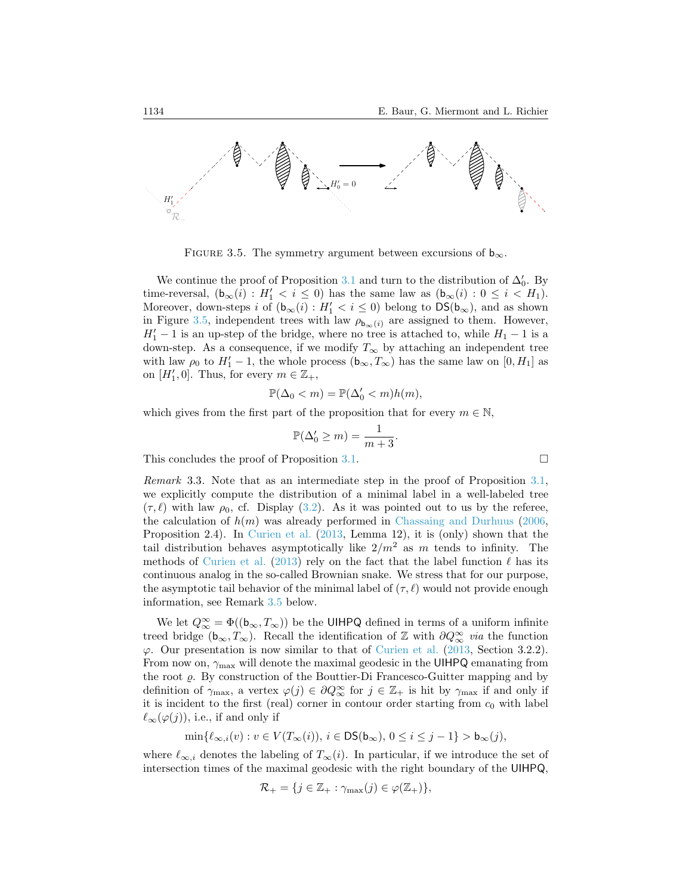

<span id="page-11-1"></span>FIGURE 3.5. The symmetry argument between excursions of  $b_{\infty}$ .

We continue the proof of Proposition [3.1](#page-9-0) and turn to the distribution of  $\Delta'_0$ . By time-reversal,  $(\mathbf{b}_{\infty}(i) : H'_1 < i \leq 0)$  has the same law as  $(\mathbf{b}_{\infty}(i) : 0 \leq i < H_1)$ . Moreover, down-steps i of  $(b_{\infty}(i) : H_1' < i \leq 0)$  belong to  $DS(b_{\infty})$ , and as shown in Figure [3.5,](#page-11-1) independent trees with law  $\rho_{\mathbf{b}_{\infty}(i)}$  are assigned to them. However,  $H_1' - 1$  is an up-step of the bridge, where no tree is attached to, while  $H_1 - 1$  is a down-step. As a consequence, if we modify  $T_{\infty}$  by attaching an independent tree with law  $\rho_0$  to  $H_1' - 1$ , the whole process  $(b_{\infty}, T_{\infty})$  has the same law on  $[0, H_1]$  as on  $[H'_1, 0]$ . Thus, for every  $m \in \mathbb{Z}_+,$ 

$$
\mathbb{P}(\Delta_0 < m) = \mathbb{P}(\Delta'_0 < m)h(m),
$$

which gives from the first part of the proposition that for every  $m \in \mathbb{N}$ ,

$$
\mathbb{P}(\Delta'_0 \ge m) = \frac{1}{m+3}.
$$

This concludes the proof of Proposition [3.1.](#page-9-0)

<span id="page-11-0"></span>Remark 3.3. Note that as an intermediate step in the proof of Proposition [3.1,](#page-9-0) we explicitly compute the distribution of a minimal label in a well-labeled tree  $(\tau, \ell)$  with law  $\rho_0$ , cf. Display [\(3.2\)](#page-10-3). As it was pointed out to us by the referee, the calculation of  $h(m)$  was already performed in [Chassaing and Durhuus](#page-25-10) [\(2006,](#page-25-10) Proposition 2.4). In [Curien et al.](#page-25-2) [\(2013,](#page-25-2) Lemma 12), it is (only) shown that the tail distribution behaves asymptotically like  $2/m^2$  as m tends to infinity. The methods of [Curien et al.](#page-25-2) [\(2013\)](#page-25-2) rely on the fact that the label function  $\ell$  has its continuous analog in the so-called Brownian snake. We stress that for our purpose, the asymptotic tail behavior of the minimal label of  $(\tau, \ell)$  would not provide enough information, see Remark [3.5](#page-13-0) below.

We let  $Q^{\infty}_{\infty} = \Phi((\mathbf{b}_{\infty}, T_{\infty}))$  be the UIHPQ defined in terms of a uniform infinite treed bridge ( $b_{\infty}, T_{\infty}$ ). Recall the identification of Z with  $\partial Q_{\infty}^{\infty}$  via the function  $\varphi$ . Our presentation is now similar to that of [Curien et al.](#page-25-2) [\(2013,](#page-25-2) Section 3.2.2). From now on,  $\gamma_{\text{max}}$  will denote the maximal geodesic in the UIHPQ emanating from the root  $\varrho$ . By construction of the Bouttier-Di Francesco-Guitter mapping and by definition of  $\gamma_{\text{max}}$ , a vertex  $\varphi(j) \in \partial Q_{\infty}^{\infty}$  for  $j \in \mathbb{Z}_+$  is hit by  $\gamma_{\text{max}}$  if and only if it is incident to the first (real) corner in contour order starting from  $c_0$  with label  $\ell_{\infty}(\varphi(j))$ , i.e., if and only if

$$
\min\{\ell_{\infty,i}(v):v\in V(T_\infty(i)),\,i\in\text{DS}(\mathsf{b}_\infty),\,0\leq i\leq j-1\}>\mathsf{b}_\infty(j),
$$

where  $\ell_{\infty,i}$  denotes the labeling of  $T_{\infty}(i)$ . In particular, if we introduce the set of intersection times of the maximal geodesic with the right boundary of the UIHPQ,

$$
\mathcal{R}_{+} = \{j \in \mathbb{Z}_{+} : \gamma_{\max}(j) \in \varphi(\mathbb{Z}_{+})\},\
$$

$$
\qquad \qquad \Box
$$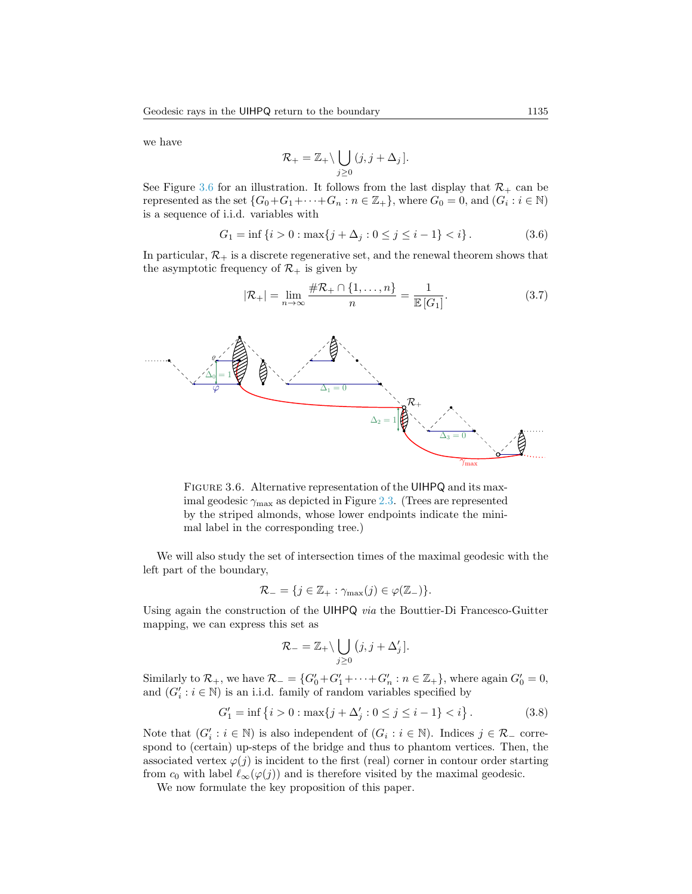we have

$$
\mathcal{R}_+ = \mathbb{Z}_+ \backslash \bigcup_{j \geq 0} (j, j + \Delta_j].
$$

See Figure [3.6](#page-12-0) for an illustration. It follows from the last display that  $\mathcal{R}_+$  can be represented as the set  $\{G_0+G_1+\cdots+G_n : n \in \mathbb{Z}_+\}$ , where  $G_0 = 0$ , and  $(G_i : i \in \mathbb{N})$ is a sequence of i.i.d. variables with

<span id="page-12-2"></span>
$$
G_1 = \inf \{ i > 0 : \max \{ j + \Delta_j : 0 \le j \le i - 1 \} < i \}.
$$
 (3.6)

In particular,  $\mathcal{R}_+$  is a discrete regenerative set, and the renewal theorem shows that the asymptotic frequency of  $\mathcal{R}_+$  is given by

<span id="page-12-1"></span>
$$
|\mathcal{R}_{+}| = \lim_{n \to \infty} \frac{\#\mathcal{R}_{+} \cap \{1, \dots, n\}}{n} = \frac{1}{\mathbb{E}\left[G_{1}\right]}.
$$
 (3.7)



<span id="page-12-0"></span>FIGURE 3.6. Alternative representation of the UIHPQ and its maximal geodesic  $\gamma_{\text{max}}$  as depicted in Figure [2.3.](#page-8-0) (Trees are represented by the striped almonds, whose lower endpoints indicate the minimal label in the corresponding tree.)

We will also study the set of intersection times of the maximal geodesic with the left part of the boundary,

$$
\mathcal{R}_{-} = \{ j \in \mathbb{Z}_{+} : \gamma_{\max}(j) \in \varphi(\mathbb{Z}_{-}) \}.
$$

Using again the construction of the UIHPQ via the Bouttier-Di Francesco-Guitter mapping, we can express this set as

$$
\mathcal{R}_{-} = \mathbb{Z}_{+} \setminus \bigcup_{j \geq 0} (j, j + \Delta'_{j}).
$$

Similarly to  $\mathcal{R}_+$ , we have  $\mathcal{R}_- = \{G'_0 + G'_1 + \cdots + G'_n : n \in \mathbb{Z}_+\}$ , where again  $G'_0 = 0$ , and  $(G'_i : i \in \mathbb{N})$  is an i.i.d. family of random variables specified by

<span id="page-12-3"></span>
$$
G_1' = \inf \{ i > 0 : \max \{ j + \Delta_j' : 0 \le j \le i - 1 \} < i \}.
$$
 (3.8)

Note that  $(G_i': i \in \mathbb{N})$  is also independent of  $(G_i : i \in \mathbb{N})$ . Indices  $j \in \mathcal{R}_-$  correspond to (certain) up-steps of the bridge and thus to phantom vertices. Then, the associated vertex  $\varphi(j)$  is incident to the first (real) corner in contour order starting from  $c_0$  with label  $\ell_{\infty}(\varphi(j))$  and is therefore visited by the maximal geodesic.

We now formulate the key proposition of this paper.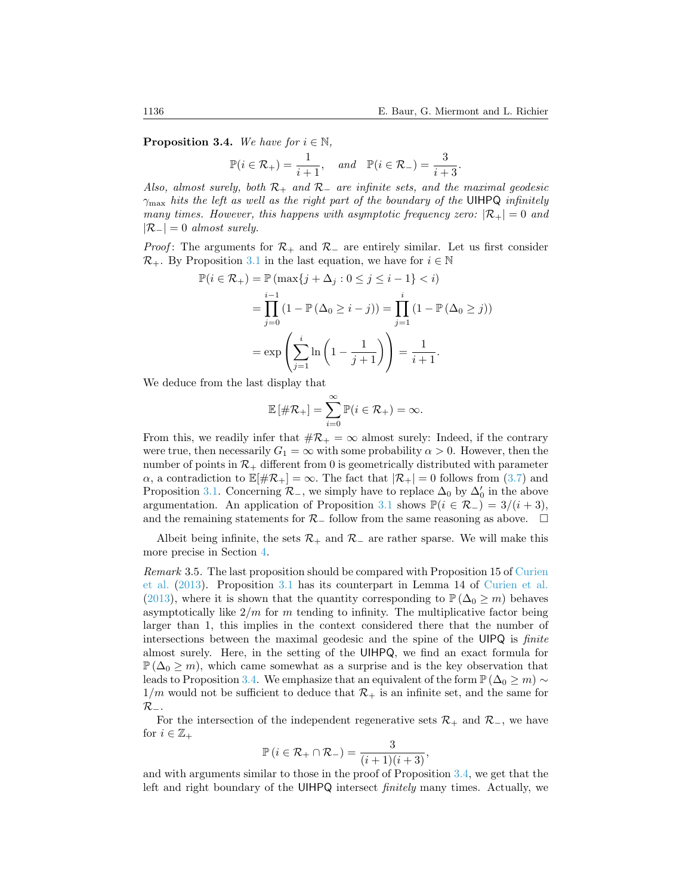<span id="page-13-1"></span>**Proposition 3.4.** We have for  $i \in \mathbb{N}$ ,

$$
\mathbb{P}(i \in \mathcal{R}_+) = \frac{1}{i+1}, \quad and \quad \mathbb{P}(i \in \mathcal{R}_-) = \frac{3}{i+3}.
$$

Also, almost surely, both  $\mathcal{R}_+$  and  $\mathcal{R}_-$  are infinite sets, and the maximal geodesic  $\gamma_{\text{max}}$  hits the left as well as the right part of the boundary of the UIHPQ infinitely many times. However, this happens with asymptotic frequency zero:  $\mathcal{R}_+| = 0$  and  $|\mathcal{R}_-| = 0$  almost surely.

*Proof*: The arguments for  $\mathcal{R}_+$  and  $\mathcal{R}_-$  are entirely similar. Let us first consider  $\mathcal{R}_+$ . By Proposition [3.1](#page-9-0) in the last equation, we have for  $i \in \mathbb{N}$ 

$$
\mathbb{P}(i \in \mathcal{R}_{+}) = \mathbb{P}(\max\{j + \Delta_{j} : 0 \le j \le i - 1\} < i) \n= \prod_{j=0}^{i-1} (1 - \mathbb{P}(\Delta_{0} \ge i - j)) = \prod_{j=1}^{i} (1 - \mathbb{P}(\Delta_{0} \ge j)) \n= \exp\left(\sum_{j=1}^{i} \ln\left(1 - \frac{1}{j+1}\right)\right) = \frac{1}{i+1}.
$$

We deduce from the last display that

$$
\mathbb{E}[\#\mathcal{R}_+]=\sum_{i=0}^\infty \mathbb{P}(i\in\mathcal{R}_+)=\infty.
$$

From this, we readily infer that  $\#\mathcal{R}_+ = \infty$  almost surely: Indeed, if the contrary were true, then necessarily  $G_1 = \infty$  with some probability  $\alpha > 0$ . However, then the number of points in  $\mathcal{R}_+$  different from 0 is geometrically distributed with parameter  $\alpha$ , a contradiction to  $\mathbb{E}[\#\mathcal{R}_+] = \infty$ . The fact that  $|\mathcal{R}_+| = 0$  follows from [\(3.7\)](#page-12-1) and Proposition [3.1.](#page-9-0) Concerning  $\mathcal{R}_-$ , we simply have to replace  $\Delta_0$  by  $\Delta'_0$  in the above argumentation. An application of Proposition [3.1](#page-9-0) shows  $\mathbb{P}(i \in \mathcal{R}_-) = 3/(i+3)$ , and the remaining statements for  $\mathcal{R}_-$  follow from the same reasoning as above.  $\Box$ 

Albeit being infinite, the sets  $\mathcal{R}_+$  and  $\mathcal{R}_-$  are rather sparse. We will make this more precise in Section [4.](#page-16-0)

<span id="page-13-0"></span>Remark 3.5. The last proposition should be compared with Proposition 15 of [Curien](#page-25-2) [et al.](#page-25-2) [\(2013\)](#page-25-2). Proposition [3.1](#page-9-0) has its counterpart in Lemma 14 of [Curien et al.](#page-25-2) [\(2013\)](#page-25-2), where it is shown that the quantity corresponding to  $\mathbb{P}(\Delta_0 \geq m)$  behaves asymptotically like  $2/m$  for m tending to infinity. The multiplicative factor being larger than 1, this implies in the context considered there that the number of intersections between the maximal geodesic and the spine of the UIPQ is finite almost surely. Here, in the setting of the UIHPQ, we find an exact formula for  $\mathbb{P}(\Delta_0 \geq m)$ , which came somewhat as a surprise and is the key observation that leads to Proposition [3.4.](#page-13-1) We emphasize that an equivalent of the form  $\mathbb{P}(\Delta_0 \geq m) \sim$  $1/m$  would not be sufficient to deduce that  $\mathcal{R}_+$  is an infinite set, and the same for  $\mathcal{R}_-$ .

For the intersection of the independent regenerative sets  $\mathcal{R}_+$  and  $\mathcal{R}_-$ , we have for  $i \in \mathbb{Z}_+$ 

$$
\mathbb{P}\left(i\in\mathcal{R}_{+}\cap\mathcal{R}_{-}\right)=\frac{3}{(i+1)(i+3)},
$$

and with arguments similar to those in the proof of Proposition [3.4,](#page-13-1) we get that the left and right boundary of the UIHPQ intersect finitely many times. Actually, we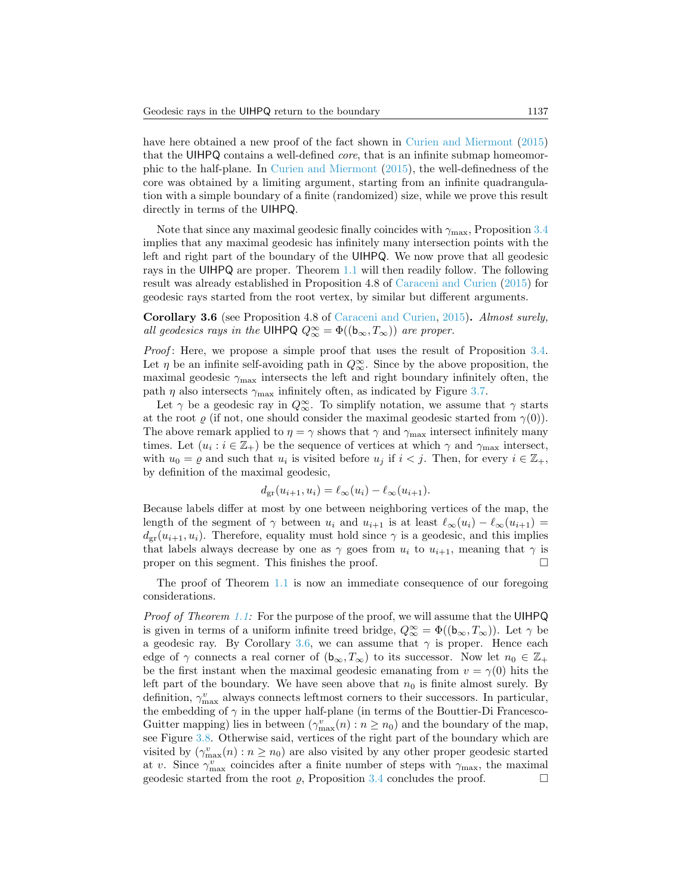have here obtained a new proof of the fact shown in [Curien and Miermont](#page-25-4) [\(2015\)](#page-25-4) that the UIHPQ contains a well-defined core, that is an infinite submap homeomorphic to the half-plane. In [Curien and Miermont](#page-25-4) [\(2015\)](#page-25-4), the well-definedness of the core was obtained by a limiting argument, starting from an infinite quadrangulation with a simple boundary of a finite (randomized) size, while we prove this result directly in terms of the UIHPQ.

Note that since any maximal geodesic finally coincides with  $\gamma_{\rm max}$ , Proposition [3.4](#page-13-1) implies that any maximal geodesic has infinitely many intersection points with the left and right part of the boundary of the UIHPQ. We now prove that all geodesic rays in the UIHPQ are proper. Theorem [1.1](#page-1-0) will then readily follow. The following result was already established in Proposition 4.8 of [Caraceni and Curien](#page-25-0) [\(2015\)](#page-25-0) for geodesic rays started from the root vertex, by similar but different arguments.

<span id="page-14-0"></span>Corollary 3.6 (see Proposition 4.8 of [Caraceni and Curien,](#page-25-0) [2015\)](#page-25-0). Almost surely, all geodesics rays in the UIHPQ  $Q_{\infty}^{\infty} = \Phi((\mathbf{b}_{\infty}, T_{\infty}))$  are proper.

*Proof*: Here, we propose a simple proof that uses the result of Proposition [3.4.](#page-13-1) Let  $\eta$  be an infinite self-avoiding path in  $Q_{\infty}^{\infty}$ . Since by the above proposition, the maximal geodesic  $\gamma_{\text{max}}$  intersects the left and right boundary infinitely often, the path  $\eta$  also intersects  $\gamma_{\text{max}}$  infinitely often, as indicated by Figure [3.7.](#page-15-1)

Let  $\gamma$  be a geodesic ray in  $Q_{\infty}^{\infty}$ . To simplify notation, we assume that  $\gamma$  starts at the root  $\rho$  (if not, one should consider the maximal geodesic started from  $\gamma(0)$ ). The above remark applied to  $\eta = \gamma$  shows that  $\gamma$  and  $\gamma_{\text{max}}$  intersect infinitely many times. Let  $(u_i : i \in \mathbb{Z}_+)$  be the sequence of vertices at which  $\gamma$  and  $\gamma_{\text{max}}$  intersect, with  $u_0 = \varrho$  and such that  $u_i$  is visited before  $u_j$  if  $i < j$ . Then, for every  $i \in \mathbb{Z}_+$ , by definition of the maximal geodesic,

$$
d_{\mathrm{gr}}(u_{i+1}, u_i) = \ell_\infty(u_i) - \ell_\infty(u_{i+1}).
$$

Because labels differ at most by one between neighboring vertices of the map, the length of the segment of  $\gamma$  between  $u_i$  and  $u_{i+1}$  is at least  $\ell_{\infty}(u_i) - \ell_{\infty}(u_{i+1}) =$  $d_{\text{gr}}(u_{i+1}, u_i)$ . Therefore, equality must hold since  $\gamma$  is a geodesic, and this implies that labels always decrease by one as  $\gamma$  goes from  $u_i$  to  $u_{i+1}$ , meaning that  $\gamma$  is proper on this segment. This finishes the proof.

The proof of Theorem [1.1](#page-1-0) is now an immediate consequence of our foregoing considerations.

Proof of Theorem [1.1:](#page-1-0) For the purpose of the proof, we will assume that the UIHPQ is given in terms of a uniform infinite treed bridge,  $Q_{\infty}^{\infty} = \Phi((\mathbf{b}_{\infty}, T_{\infty}))$ . Let  $\gamma$  be a geodesic ray. By Corollary [3.6,](#page-14-0) we can assume that  $\gamma$  is proper. Hence each edge of  $\gamma$  connects a real corner of  $(b_{\infty}, T_{\infty})$  to its successor. Now let  $n_0 \in \mathbb{Z}_+$ be the first instant when the maximal geodesic emanating from  $v = \gamma(0)$  hits the left part of the boundary. We have seen above that  $n_0$  is finite almost surely. By definition,  $\gamma_{\text{max}}^v$  always connects leftmost corners to their successors. In particular, the embedding of  $\gamma$  in the upper half-plane (in terms of the Bouttier-Di Francesco-Guitter mapping) lies in between  $(\gamma_{\max}^v(n) : n \ge n_0)$  and the boundary of the map, see Figure [3.8.](#page-15-2) Otherwise said, vertices of the right part of the boundary which are visited by  $(\gamma_{\max}^v(n) : n \ge n_0)$  are also visited by any other proper geodesic started at v. Since  $\gamma_{\text{max}}^v$  coincides after a finite number of steps with  $\gamma_{\text{max}}$ , the maximal geodesic started from the root  $\rho$ , Proposition [3.4](#page-13-1) concludes the proof.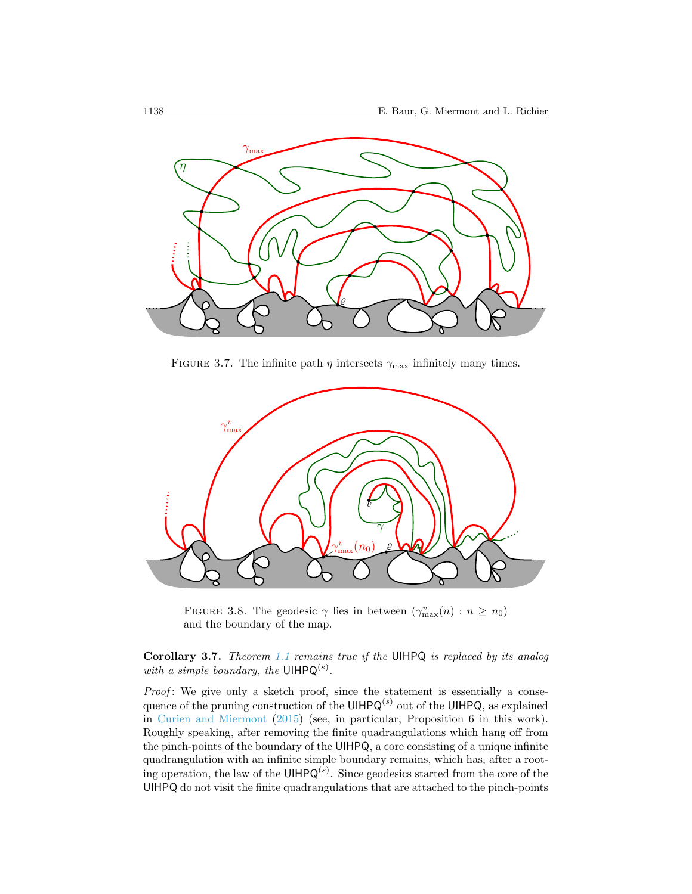

<span id="page-15-1"></span>FIGURE 3.7. The infinite path  $\eta$  intersects  $\gamma_{\text{max}}$  infinitely many times.



<span id="page-15-2"></span>FIGURE 3.8. The geodesic  $\gamma$  lies in between  $(\gamma_{\max}^v(n) : n \ge n_0)$ and the boundary of the map.

<span id="page-15-0"></span>Corollary 3.7. Theorem [1.1](#page-1-0) remains true if the UIHPQ is replaced by its analog with a simple boundary, the UIHP $Q^{(s)}$ .

*Proof*: We give only a sketch proof, since the statement is essentially a consequence of the pruning construction of the UIHPQ<sup>(s)</sup> out of the UIHPQ, as explained in [Curien and Miermont](#page-25-4) [\(2015\)](#page-25-4) (see, in particular, Proposition 6 in this work). Roughly speaking, after removing the finite quadrangulations which hang off from the pinch-points of the boundary of the UIHPQ, a core consisting of a unique infinite quadrangulation with an infinite simple boundary remains, which has, after a rooting operation, the law of the UIHP $Q^{(s)}$ . Since geodesics started from the core of the UIHPQ do not visit the finite quadrangulations that are attached to the pinch-points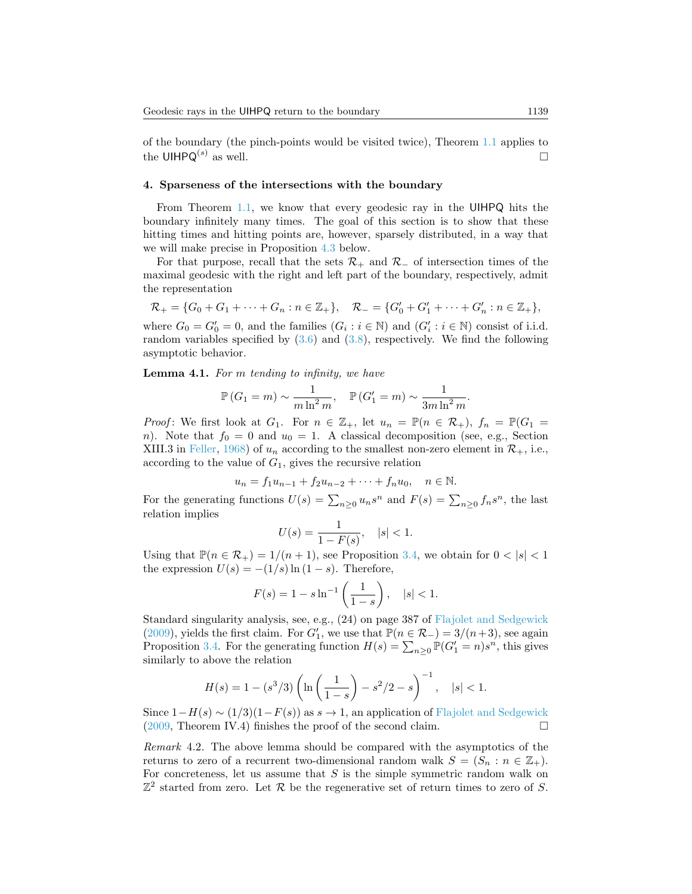of the boundary (the pinch-points would be visited twice), Theorem [1.1](#page-1-0) applies to the UIHPQ<sup>(s)</sup> as well. as well.  $\Box$ 

## <span id="page-16-0"></span>4. Sparseness of the intersections with the boundary

From Theorem [1.1,](#page-1-0) we know that every geodesic ray in the UIHPQ hits the boundary infinitely many times. The goal of this section is to show that these hitting times and hitting points are, however, sparsely distributed, in a way that we will make precise in Proposition [4.3](#page-18-0) below.

For that purpose, recall that the sets  $\mathcal{R}_+$  and  $\mathcal{R}_-$  of intersection times of the maximal geodesic with the right and left part of the boundary, respectively, admit the representation

$$
\mathcal{R}_+ = \{G_0 + G_1 + \dots + G_n : n \in \mathbb{Z}_+\}, \quad \mathcal{R}_- = \{G'_0 + G'_1 + \dots + G'_n : n \in \mathbb{Z}_+\},
$$

where  $G_0 = G'_0 = 0$ , and the families  $(G_i : i \in \mathbb{N})$  and  $(G'_i : i \in \mathbb{N})$  consist of i.i.d. random variables specified by  $(3.6)$  and  $(3.8)$ , respectively. We find the following asymptotic behavior.

<span id="page-16-1"></span>Lemma 4.1. For m tending to infinity, we have

$$
\mathbb{P}\left(G_1 = m\right) \sim \frac{1}{m \ln^2 m}, \quad \mathbb{P}\left(G'_1 = m\right) \sim \frac{1}{3m \ln^2 m}.
$$

*Proof*: We first look at  $G_1$ . For  $n \in \mathbb{Z}_+$ , let  $u_n = \mathbb{P}(n \in \mathcal{R}_+)$ ,  $f_n = \mathbb{P}(G_1 =$ n). Note that  $f_0 = 0$  and  $u_0 = 1$ . A classical decomposition (see, e.g., Section XIII.3 in [Feller,](#page-25-11) [1968\)](#page-25-11) of  $u_n$  according to the smallest non-zero element in  $\mathcal{R}_+$ , i.e., according to the value of  $G_1$ , gives the recursive relation

$$
u_n = f_1 u_{n-1} + f_2 u_{n-2} + \dots + f_n u_0, \quad n \in \mathbb{N}.
$$

For the generating functions  $U(s) = \sum_{n\geq 0} u_n s^n$  and  $F(s) = \sum_{n\geq 0} f_n s^n$ , the last relation implies

$$
U(s) = \frac{1}{1 - F(s)}, \quad |s| < 1.
$$

Using that  $\mathbb{P}(n \in \mathcal{R}_+) = 1/(n+1)$ , see Proposition [3.4,](#page-13-1) we obtain for  $0 < |s| < 1$ the expression  $U(s) = -(1/s) \ln(1-s)$ . Therefore,

$$
F(s) = 1 - s \ln^{-1} \left( \frac{1}{1 - s} \right), \quad |s| < 1.
$$

Standard singularity analysis, see, e.g., (24) on page 387 of [Flajolet and Sedgewick](#page-25-8) [\(2009\)](#page-25-8), yields the first claim. For  $G'_1$ , we use that  $\mathbb{P}(n \in \mathcal{R}_-) = 3/(n+3)$ , see again Proposition [3.4.](#page-13-1) For the generating function  $H(s) = \sum_{n\geq 0} \mathbb{P}(G'_1 = n)s^n$ , this gives similarly to above the relation

$$
H(s) = 1 - (s^3/3) \left( \ln \left( \frac{1}{1-s} \right) - s^2/2 - s \right)^{-1}, \quad |s| < 1.
$$

Since  $1-H(s) \sim (1/3)(1-F(s))$  as  $s \to 1$ , an application of [Flajolet and Sedgewick](#page-25-8) (2009. Theorem IV.4) finishes the proof of the second claim. [\(2009,](#page-25-8) Theorem IV.4) finishes the proof of the second claim.

Remark 4.2. The above lemma should be compared with the asymptotics of the returns to zero of a recurrent two-dimensional random walk  $S = (S_n : n \in \mathbb{Z}_+).$ For concreteness, let us assume that  $S$  is the simple symmetric random walk on  $\mathbb{Z}^2$  started from zero. Let R be the regenerative set of return times to zero of S.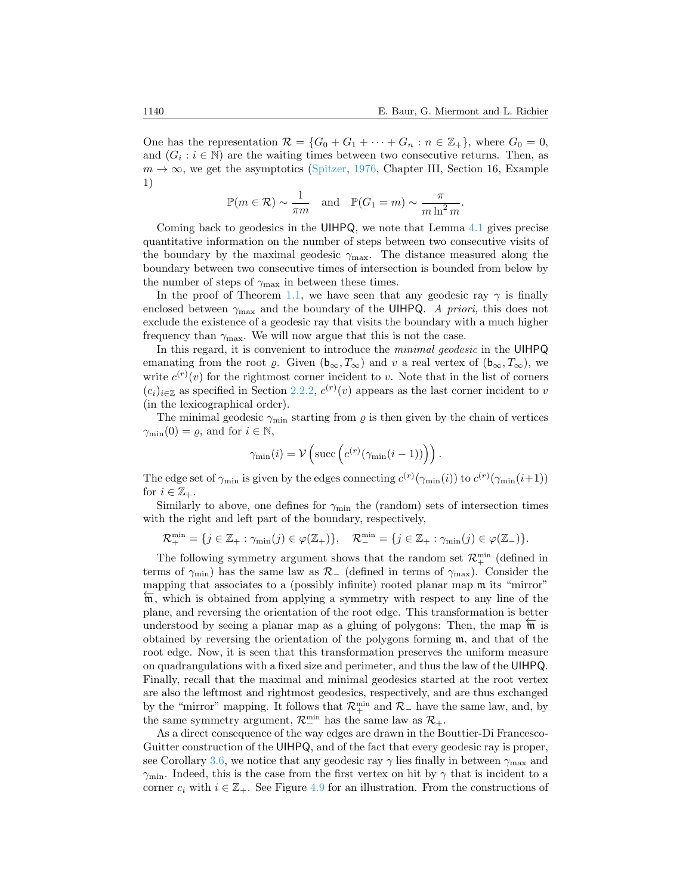One has the representation  $\mathcal{R} = \{G_0 + G_1 + \cdots + G_n : n \in \mathbb{Z}_+\}$ , where  $G_0 = 0$ , and  $(G_i : i \in \mathbb{N})$  are the waiting times between two consecutive returns. Then, as  $m \to \infty$ , we get the asymptotics [\(Spitzer,](#page-26-3) [1976,](#page-26-3) Chapter III, Section 16, Example 1)

$$
\mathbb{P}(m \in \mathcal{R}) \sim \frac{1}{\pi m}
$$
 and  $\mathbb{P}(G_1 = m) \sim \frac{\pi}{m \ln^2 m}$ .

Coming back to geodesics in the UIHPQ, we note that Lemma [4.1](#page-16-1) gives precise quantitative information on the number of steps between two consecutive visits of the boundary by the maximal geodesic  $\gamma_{\text{max}}$ . The distance measured along the boundary between two consecutive times of intersection is bounded from below by the number of steps of  $\gamma_{\text{max}}$  in between these times.

In the proof of Theorem [1.1,](#page-1-0) we have seen that any geodesic ray  $\gamma$  is finally enclosed between  $\gamma_{\text{max}}$  and the boundary of the UIHPQ. A priori, this does not exclude the existence of a geodesic ray that visits the boundary with a much higher frequency than  $\gamma_{\text{max}}$ . We will now argue that this is not the case.

In this regard, it is convenient to introduce the minimal geodesic in the UIHPQ emanating from the root  $\varrho$ . Given  $(b_{\infty}, T_{\infty})$  and v a real vertex of  $(b_{\infty}, T_{\infty})$ , we write  $c^{(r)}(v)$  for the rightmost corner incident to v. Note that in the list of corners  $(c_i)_{i\in\mathbb{Z}}$  as specified in Section [2.2.2,](#page-4-0)  $c^{(r)}(v)$  appears as the last corner incident to v (in the lexicographical order).

The minimal geodesic  $\gamma_{\text{min}}$  starting from  $\rho$  is then given by the chain of vertices  $\gamma_{\min}(0) = \varrho$ , and for  $i \in \mathbb{N}$ ,

$$
\gamma_{\min}(i) = \mathcal{V}\left(\text{succ}\left(c^{(r)}(\gamma_{\min}(i-1))\right)\right).
$$

The edge set of  $\gamma_{\min}$  is given by the edges connecting  $c^{(r)}(\gamma_{\min}(i))$  to  $c^{(r)}(\gamma_{\min}(i+1))$ for  $i \in \mathbb{Z}_+$ .

Similarly to above, one defines for  $\gamma_{\rm min}$  the (random) sets of intersection times with the right and left part of the boundary, respectively,

$$
\mathcal{R}_{+}^{\min} = \{j \in \mathbb{Z}_{+} : \gamma_{\min}(j) \in \varphi(\mathbb{Z}_{+})\}, \quad \mathcal{R}_{-}^{\min} = \{j \in \mathbb{Z}_{+} : \gamma_{\min}(j) \in \varphi(\mathbb{Z}_{-})\}.
$$

The following symmetry argument shows that the random set  $\mathcal{R}_{+}^{\min}$  (defined in terms of  $\gamma_{\rm min}$ ) has the same law as  $\mathcal{R}_-$  (defined in terms of  $\gamma_{\rm max}$ ). Consider the mapping that associates to a (possibly infinite) rooted planar map  $\mathfrak m$  its "mirror"  $\overline{m}$ , which is obtained from applying a symmetry with respect to any line of the plane, and reversing the orientation of the root edge. This transformation is better understood by seeing a planar map as a gluing of polygons: Then, the map  $\overline{m}$  is obtained by reversing the orientation of the polygons forming  $m$ , and that of the root edge. Now, it is seen that this transformation preserves the uniform measure on quadrangulations with a fixed size and perimeter, and thus the law of the UIHPQ. Finally, recall that the maximal and minimal geodesics started at the root vertex are also the leftmost and rightmost geodesics, respectively, and are thus exchanged by the "mirror" mapping. It follows that  $\mathcal{R}_+^{\min}$  and  $\mathcal{R}_-$  have the same law, and, by the same symmetry argument,  $\mathcal{R}^{\min}_{-}$  has the same law as  $\mathcal{R}_{+}$ .

As a direct consequence of the way edges are drawn in the Bouttier-Di Francesco-Guitter construction of the UIHPQ, and of the fact that every geodesic ray is proper, see Corollary [3.6,](#page-14-0) we notice that any geodesic ray  $\gamma$  lies finally in between  $\gamma_{\text{max}}$  and  $\gamma_{\rm min}$ . Indeed, this is the case from the first vertex on hit by  $\gamma$  that is incident to a corner  $c_i$  with  $i \in \mathbb{Z}_+$ . See Figure [4.9](#page-18-2) for an illustration. From the constructions of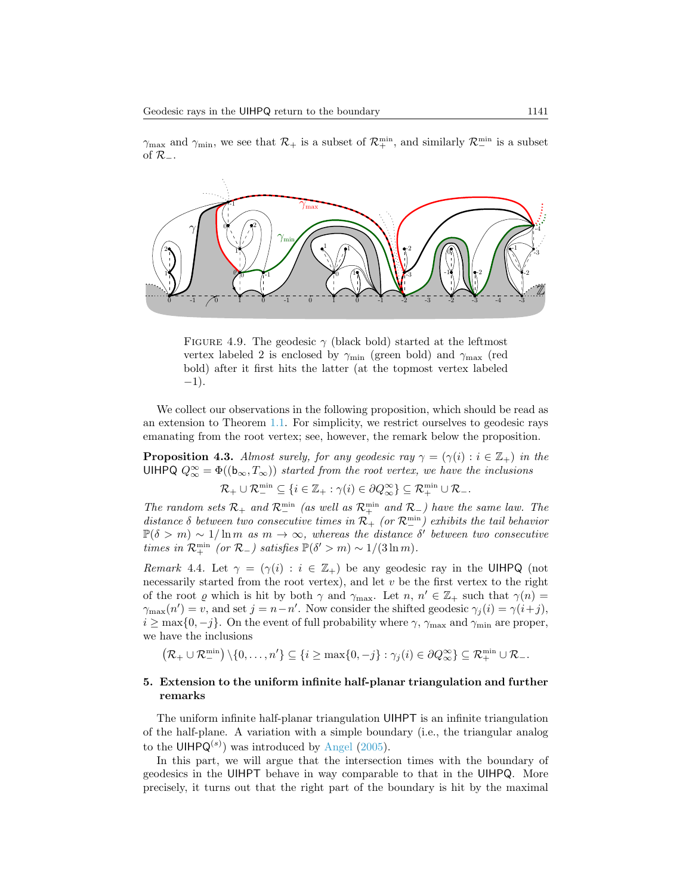$\gamma_{\text{max}}$  and  $\gamma_{\text{min}}$ , we see that  $\mathcal{R}_+$  is a subset of  $\mathcal{R}_+^{\text{min}}$ , and similarly  $\mathcal{R}_-^{\text{min}}$  is a subset of  $\mathcal{R}_-$ .



<span id="page-18-2"></span>FIGURE 4.9. The geodesic  $\gamma$  (black bold) started at the leftmost vertex labeled 2 is enclosed by  $\gamma_{\rm min}$  (green bold) and  $\gamma_{\rm max}$  (red bold) after it first hits the latter (at the topmost vertex labeled  $-1$ ).

We collect our observations in the following proposition, which should be read as an extension to Theorem [1.1.](#page-1-0) For simplicity, we restrict ourselves to geodesic rays emanating from the root vertex; see, however, the remark below the proposition.

<span id="page-18-0"></span>**Proposition 4.3.** Almost surely, for any geodesic ray  $\gamma = (\gamma(i) : i \in \mathbb{Z}_+)$  in the UIHPQ  $Q_{\infty}^{\infty} = \Phi((\mathbf{b}_{\infty}, T_{\infty}))$  started from the root vertex, we have the inclusions

 $\mathcal{R}_+ \cup \mathcal{R}_-^{\min} \subseteq \{i \in \mathbb{Z}_+ : \gamma(i) \in \partial Q_\infty^{\infty}\} \subseteq \mathcal{R}_+^{\min} \cup \mathcal{R}_-.$ 

The random sets  $\mathcal{R}_+$  and  $\mathcal{R}_-^{\min}$  (as well as  $\mathcal{R}_+^{\min}$  and  $\mathcal{R}_-$ ) have the same law. The distance  $\delta$  between two consecutive times in  $\mathcal{R}_+$  (or  $\mathcal{R}_-^{\min}$ ) exhibits the tail behavior  $\mathbb{P}(\delta > m) \sim 1/\ln m$  as  $m \to \infty$ , whereas the distance  $\delta'$  between two consecutive times in  $\mathcal{R}_+^{\min}$  (or  $\mathcal{R}_-$ ) satisfies  $\mathbb{P}(\delta' > m) \sim 1/(3 \ln m)$ .

Remark 4.4. Let  $\gamma = (\gamma(i) : i \in \mathbb{Z}_+)$  be any geodesic ray in the UIHPQ (not necessarily started from the root vertex), and let  $v$  be the first vertex to the right of the root  $\varrho$  which is hit by both  $\gamma$  and  $\gamma_{\text{max}}$ . Let  $n, n' \in \mathbb{Z}_+$  such that  $\gamma(n) =$  $\gamma_{\max}(n') = v$ , and set  $j = n - n'$ . Now consider the shifted geodesic  $\gamma_j(i) = \gamma(i+j)$ ,  $i \geq \max\{0, -j\}.$  On the event of full probability where  $\gamma$ ,  $\gamma_{\text{max}}$  and  $\gamma_{\text{min}}$  are proper, we have the inclusions

 $(\mathcal{R}_+ \cup \mathcal{R}_-^{\min}) \setminus \{0, \ldots, n'\} \subseteq \{i \geq \max\{0, -j\} : \gamma_j(i) \in \partial Q_{\infty}^{\infty}\} \subseteq \mathcal{R}_+^{\min} \cup \mathcal{R}_-.$ 

## <span id="page-18-1"></span>5. Extension to the uniform infinite half-planar triangulation and further remarks

The uniform infinite half-planar triangulation UIHPT is an infinite triangulation of the half-plane. A variation with a simple boundary (i.e., the triangular analog to the UIHPQ<sup>(s)</sup>) was introduced by [Angel](#page-25-5) [\(2005\)](#page-25-5).

In this part, we will argue that the intersection times with the boundary of geodesics in the UIHPT behave in way comparable to that in the UIHPQ. More precisely, it turns out that the right part of the boundary is hit by the maximal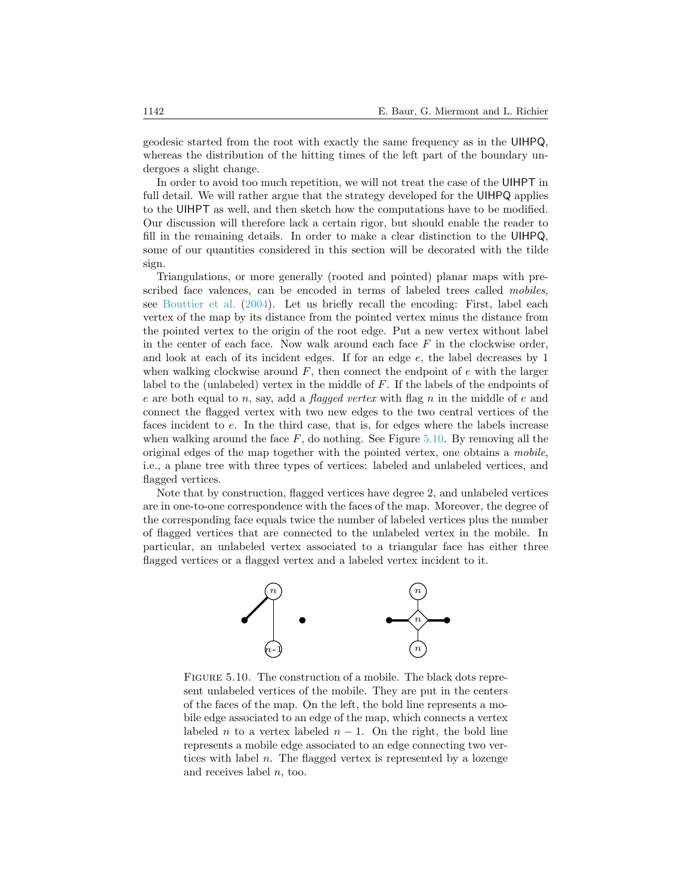geodesic started from the root with exactly the same frequency as in the UIHPQ, whereas the distribution of the hitting times of the left part of the boundary undergoes a slight change.

In order to avoid too much repetition, we will not treat the case of the UIHPT in full detail. We will rather argue that the strategy developed for the UIHPQ applies to the UIHPT as well, and then sketch how the computations have to be modified. Our discussion will therefore lack a certain rigor, but should enable the reader to fill in the remaining details. In order to make a clear distinction to the UIHPQ, some of our quantities considered in this section will be decorated with the tilde sign.

Triangulations, or more generally (rooted and pointed) planar maps with prescribed face valences, can be encoded in terms of labeled trees called mobiles, see [Bouttier et al.](#page-25-6) [\(2004\)](#page-25-6). Let us briefly recall the encoding: First, label each vertex of the map by its distance from the pointed vertex minus the distance from the pointed vertex to the origin of the root edge. Put a new vertex without label in the center of each face. Now walk around each face  $F$  in the clockwise order, and look at each of its incident edges. If for an edge e, the label decreases by 1 when walking clockwise around  $F$ , then connect the endpoint of  $e$  with the larger label to the (unlabeled) vertex in the middle of F. If the labels of the endpoints of e are both equal to n, say, add a *flagged vertex* with flag n in the middle of e and connect the flagged vertex with two new edges to the two central vertices of the faces incident to e. In the third case, that is, for edges where the labels increase when walking around the face  $F$ , do nothing. See Figure [5.10.](#page-19-0) By removing all the original edges of the map together with the pointed vertex, one obtains a mobile, i.e., a plane tree with three types of vertices: labeled and unlabeled vertices, and flagged vertices.

Note that by construction, flagged vertices have degree 2, and unlabeled vertices are in one-to-one correspondence with the faces of the map. Moreover, the degree of the corresponding face equals twice the number of labeled vertices plus the number of flagged vertices that are connected to the unlabeled vertex in the mobile. In particular, an unlabeled vertex associated to a triangular face has either three flagged vertices or a flagged vertex and a labeled vertex incident to it.



<span id="page-19-0"></span>FIGURE 5.10. The construction of a mobile. The black dots represent unlabeled vertices of the mobile. They are put in the centers of the faces of the map. On the left, the bold line represents a mobile edge associated to an edge of the map, which connects a vertex labeled *n* to a vertex labeled  $n - 1$ . On the right, the bold line represents a mobile edge associated to an edge connecting two vertices with label n. The flagged vertex is represented by a lozenge and receives label n, too.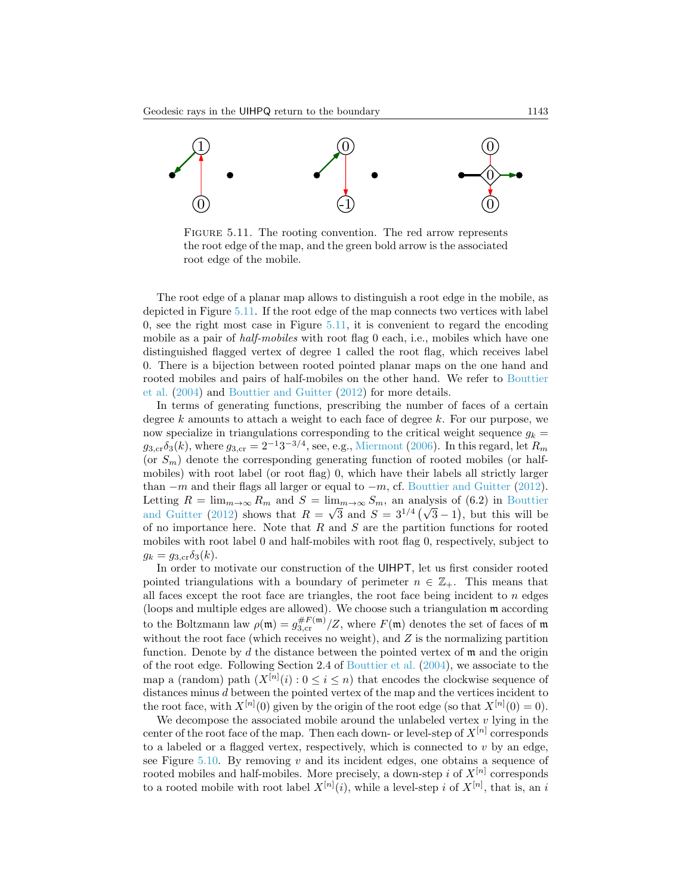

<span id="page-20-0"></span>FIGURE 5.11. The rooting convention. The red arrow represents the root edge of the map, and the green bold arrow is the associated root edge of the mobile.

The root edge of a planar map allows to distinguish a root edge in the mobile, as depicted in Figure [5.11.](#page-20-0) If the root edge of the map connects two vertices with label 0, see the right most case in Figure  $5.11$ , it is convenient to regard the encoding mobile as a pair of *half-mobiles* with root flag 0 each, i.e., mobiles which have one distinguished flagged vertex of degree 1 called the root flag, which receives label 0. There is a bijection between rooted pointed planar maps on the one hand and rooted mobiles and pairs of half-mobiles on the other hand. We refer to [Bouttier](#page-25-6) [et al.](#page-25-6) [\(2004\)](#page-25-6) and [Bouttier and Guitter](#page-25-9) [\(2012\)](#page-25-9) for more details.

In terms of generating functions, prescribing the number of faces of a certain degree k amounts to attach a weight to each face of degree k. For our purpose, we now specialize in triangulations corresponding to the critical weight sequence  $g_k =$  $g_{3,\text{cr}}\delta_3(k)$ , where  $g_{3,\text{cr}} = 2^{-1}3^{-3/4}$ , see, e.g., [Miermont](#page-26-4) [\(2006\)](#page-26-4). In this regard, let  $R_m$ (or  $S_m$ ) denote the corresponding generating function of rooted mobiles (or halfmobiles) with root label (or root flag) 0, which have their labels all strictly larger than  $-m$  and their flags all larger or equal to  $-m$ , cf. [Bouttier and Guitter](#page-25-9) [\(2012\)](#page-25-9). Letting  $R = \lim_{m \to \infty} R_m$  and  $S = \lim_{m \to \infty} S_m$ , an analysis of (6.2) in [Bouttier](#page-25-9) [and Guitter](#page-25-9) [\(2012\)](#page-25-9) shows that  $R = \sqrt{3}$  and  $S = 3^{1/4} (\sqrt{3} - 1)$ , but this will be of no importance here. Note that  $R$  and  $S$  are the partition functions for rooted mobiles with root label 0 and half-mobiles with root flag 0, respectively, subject to  $g_k = g_{3,\text{cr}}\delta_3(k).$ 

In order to motivate our construction of the UIHPT, let us first consider rooted pointed triangulations with a boundary of perimeter  $n \in \mathbb{Z}_+$ . This means that all faces except the root face are triangles, the root face being incident to n edges (loops and multiple edges are allowed). We choose such a triangulation m according to the Boltzmann law  $\rho(\mathfrak{m}) = g_{3,\text{cr}}^{\#F(\mathfrak{m})}/Z$ , where  $F(\mathfrak{m})$  denotes the set of faces of  $\mathfrak{m}$ without the root face (which receives no weight), and  $Z$  is the normalizing partition function. Denote by  $d$  the distance between the pointed vertex of  $\mathfrak{m}$  and the origin of the root edge. Following Section 2.4 of [Bouttier et al.](#page-25-6) [\(2004\)](#page-25-6), we associate to the map a (random) path  $(X^{[n]}(i): 0 \le i \le n)$  that encodes the clockwise sequence of distances minus d between the pointed vertex of the map and the vertices incident to the root face, with  $X^{[n]}(0)$  given by the origin of the root edge (so that  $X^{[n]}(0) = 0$ ).

We decompose the associated mobile around the unlabeled vertex  $v$  lying in the center of the root face of the map. Then each down- or level-step of  $X^{[n]}$  corresponds to a labeled or a flagged vertex, respectively, which is connected to  $v$  by an edge, see Figure [5.10.](#page-19-0) By removing  $v$  and its incident edges, one obtains a sequence of rooted mobiles and half-mobiles. More precisely, a down-step i of  $X^{[n]}$  corresponds to a rooted mobile with root label  $X^{[n]}(i)$ , while a level-step i of  $X^{[n]}$ , that is, an i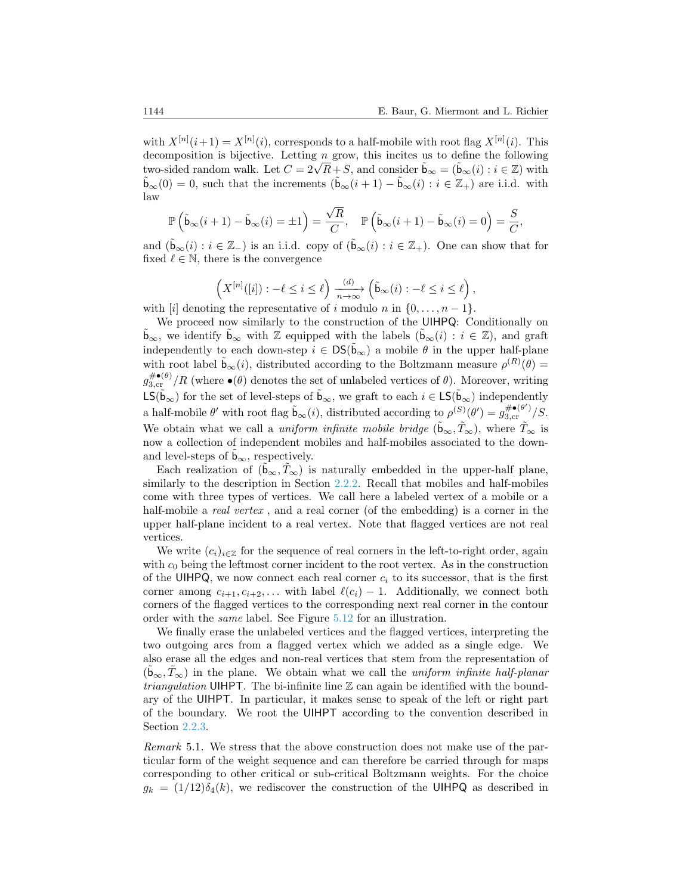with  $X^{[n]}(i+1) = X^{[n]}(i)$ , corresponds to a half-mobile with root flag  $X^{[n]}(i)$ . This decomposition is bijective. Letting  $n$  grow, this incites us to define the following two-sided random walk. Let  $C = 2\sqrt{R} + S$ , and consider  $\tilde{b}_{\infty} = (\tilde{b}_{\infty}(i) : i \in \mathbb{Z})$  with  $\tilde{\mathbf{b}}_{\infty}(0) = 0$ , such that the increments  $(\tilde{\mathbf{b}}_{\infty}(i+1) - \tilde{\mathbf{b}}_{\infty}(i) : i \in \mathbb{Z}_+)$  are i.i.d. with law

$$
\mathbb{P}\left(\tilde{\mathbf{b}}_{\infty}(i+1)-\tilde{\mathbf{b}}_{\infty}(i)=\pm 1\right)=\frac{\sqrt{R}}{C},\quad \mathbb{P}\left(\tilde{\mathbf{b}}_{\infty}(i+1)-\tilde{\mathbf{b}}_{\infty}(i)=0\right)=\frac{S}{C},
$$

and  $(\tilde{\mathbf{b}}_{\infty}(i): i \in \mathbb{Z}_-)$  is an i.i.d. copy of  $(\tilde{\mathbf{b}}_{\infty}(i): i \in \mathbb{Z}_+)$ . One can show that for fixed  $\ell \in \mathbb{N}$ , there is the convergence

$$
\left(X^{[n]}([i]): -\ell \leq i \leq \ell\right) \xrightarrow[n \to \infty]{(d)} \left(\tilde{\mathbf{b}}_{\infty}(i): -\ell \leq i \leq \ell\right),
$$

with [i] denoting the representative of i modulo n in  $\{0, \ldots, n-1\}$ .

We proceed now similarly to the construction of the UIHPQ: Conditionally on **b**<sub>∞</sub>, we identify **b**<sub>∞</sub> with  $\mathbb{Z}$  equipped with the labels (**b**<sub>∞</sub>(*i*) : *i* ∈  $\mathbb{Z}$ ), and graft independently to each down-step  $i \in DS(\tilde{b}_{\infty})$  a mobile  $\theta$  in the upper half-plane with root label  $\tilde{\mathbf{b}}_{\infty}(i)$ , distributed according to the Boltzmann measure  $\rho^{(R)}(\theta) =$  $g_{3,\text{cr}}^{\# \bullet (\theta)}/R$  (where  $\bullet (\theta)$  denotes the set of unlabeled vertices of  $\theta$ ). Moreover, writing  $\mathsf{LS}(\tilde{\mathsf{b}}_{\infty})$  for the set of level-steps of  $\tilde{\mathsf{b}}_{\infty}$ , we graft to each  $i \in \mathsf{LS}(\tilde{\mathsf{b}}_{\infty})$  independently a half-mobile  $\theta'$  with root flag  $\tilde{b}_{\infty}(i)$ , distributed according to  $\rho^{(S)}(\theta') = g_{3,\text{cr}}^{\# \bullet(\theta')} / S$ . We obtain what we call a *uniform infinite mobile bridge*  $(\tilde{b}_{\infty}, \tilde{T}_{\infty})$ , where  $\tilde{T}_{\infty}$  is now a collection of independent mobiles and half-mobiles associated to the downand level-steps of  $b_{\infty}$ , respectively.

Each realization of  $(\mathfrak{b}_{\infty}, T_{\infty})$  is naturally embedded in the upper-half plane, similarly to the description in Section [2.2.2.](#page-4-0) Recall that mobiles and half-mobiles come with three types of vertices. We call here a labeled vertex of a mobile or a half-mobile a *real vertex*, and a real corner (of the embedding) is a corner in the upper half-plane incident to a real vertex. Note that flagged vertices are not real vertices.

We write  $(c_i)_{i\in\mathbb{Z}}$  for the sequence of real corners in the left-to-right order, again with  $c_0$  being the leftmost corner incident to the root vertex. As in the construction of the UIHPQ, we now connect each real corner  $c_i$  to its successor, that is the first corner among  $c_{i+1}, c_{i+2}, \ldots$  with label  $\ell(c_i) - 1$ . Additionally, we connect both corners of the flagged vertices to the corresponding next real corner in the contour order with the same label. See Figure [5.12](#page-22-0) for an illustration.

We finally erase the unlabeled vertices and the flagged vertices, interpreting the two outgoing arcs from a flagged vertex which we added as a single edge. We also erase all the edges and non-real vertices that stem from the representation of  $(\tilde{b}_{\infty}, \tilde{T}_{\infty})$  in the plane. We obtain what we call the *uniform infinite half-planar triangulation* UIHPT. The bi-infinite line  $\mathbb Z$  can again be identified with the boundary of the UIHPT. In particular, it makes sense to speak of the left or right part of the boundary. We root the UIHPT according to the convention described in Section [2.2.3.](#page-6-0)

Remark 5.1. We stress that the above construction does not make use of the particular form of the weight sequence and can therefore be carried through for maps corresponding to other critical or sub-critical Boltzmann weights. For the choice  $g_k = (1/12)\delta_4(k)$ , we rediscover the construction of the UIHPQ as described in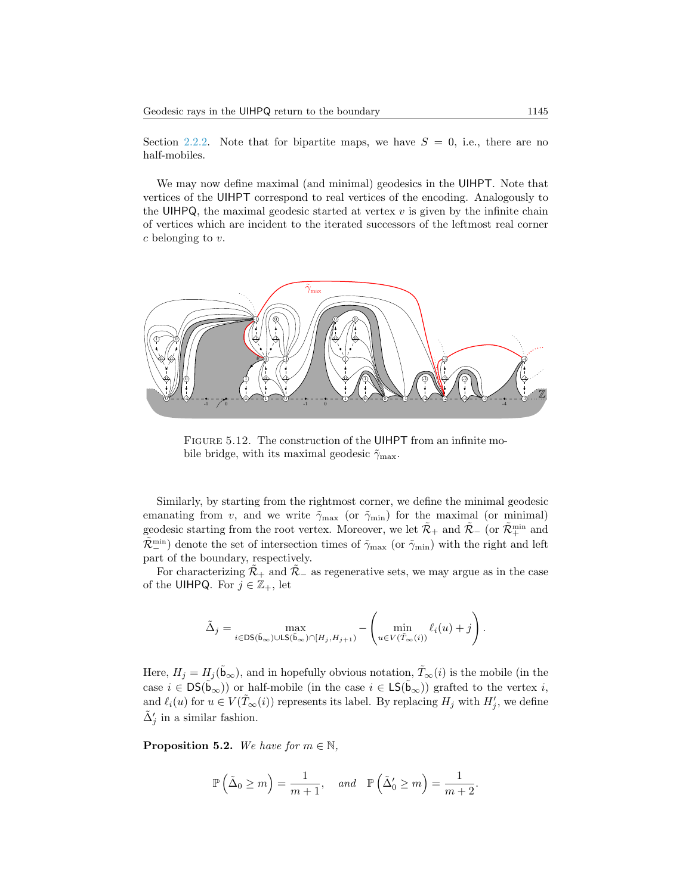Section [2.2.2.](#page-4-0) Note that for bipartite maps, we have  $S = 0$ , i.e., there are no half-mobiles.

We may now define maximal (and minimal) geodesics in the UIHPT. Note that vertices of the UIHPT correspond to real vertices of the encoding. Analogously to the UIHPQ, the maximal geodesic started at vertex  $v$  is given by the infinite chain of vertices which are incident to the iterated successors of the leftmost real corner c belonging to v.



Figure 5.12. The construction of the UIHPT from an infinite mobile bridge, with its maximal geodesic  $\tilde{\gamma}_{\text{max}}$ .

<span id="page-22-0"></span>Similarly, by starting from the rightmost corner, we define the minimal geodesic emanating from v, and we write  $\tilde{\gamma}_{\text{max}}$  (or  $\tilde{\gamma}_{\text{min}}$ ) for the maximal (or minimal) geodesic starting from the root vertex. Moreover, we let  $\tilde{\mathcal{R}}_+$  and  $\tilde{\mathcal{R}}_-$  (or  $\tilde{\mathcal{R}}_+^{\min}$  and  $(\tilde{\mathcal{R}}_{-n}^{\min})$  denote the set of intersection times of  $\tilde{\gamma}_{\max}$  (or  $\tilde{\gamma}_{\min}$ ) with the right and left part of the boundary, respectively.

For characterizing  $\mathcal{R}_+$  and  $\mathcal{R}_-$  as regenerative sets, we may argue as in the case of the UIHPQ. For  $j \in \mathbb{Z}_+$ , let

$$
\tilde{\Delta}_j = \max_{i \in \text{DS}(\tilde{\mathbf{b}}_{\infty}) \cup \text{LS}(\tilde{\mathbf{b}}_{\infty}) \cap [H_j, H_{j+1})} - \left(\min_{u \in V(\tilde{T}_{\infty}(i))} \ell_i(u) + j\right).
$$

Here,  $H_j = H_j(\tilde{b}_{\infty})$ , and in hopefully obvious notation,  $\tilde{T}_{\infty}(i)$  is the mobile (in the case  $i \in \text{DS}(\tilde{\mathbf{b}}_{\infty})$  or half-mobile (in the case  $i \in \text{LS}(\tilde{\mathbf{b}}_{\infty})$ ) grafted to the vertex i, and  $\ell_i(u)$  for  $u \in V(\tilde{T}_{\infty}(i))$  represents its label. By replacing  $H_j$  with  $H'_j$ , we define  $\tilde{\Delta}'_j$  in a similar fashion.

**Proposition 5.2.** We have for  $m \in \mathbb{N}$ ,

$$
\mathbb{P}\left(\tilde{\Delta}_0 \ge m\right) = \frac{1}{m+1}, \quad \text{and} \quad \mathbb{P}\left(\tilde{\Delta}'_0 \ge m\right) = \frac{1}{m+2}.
$$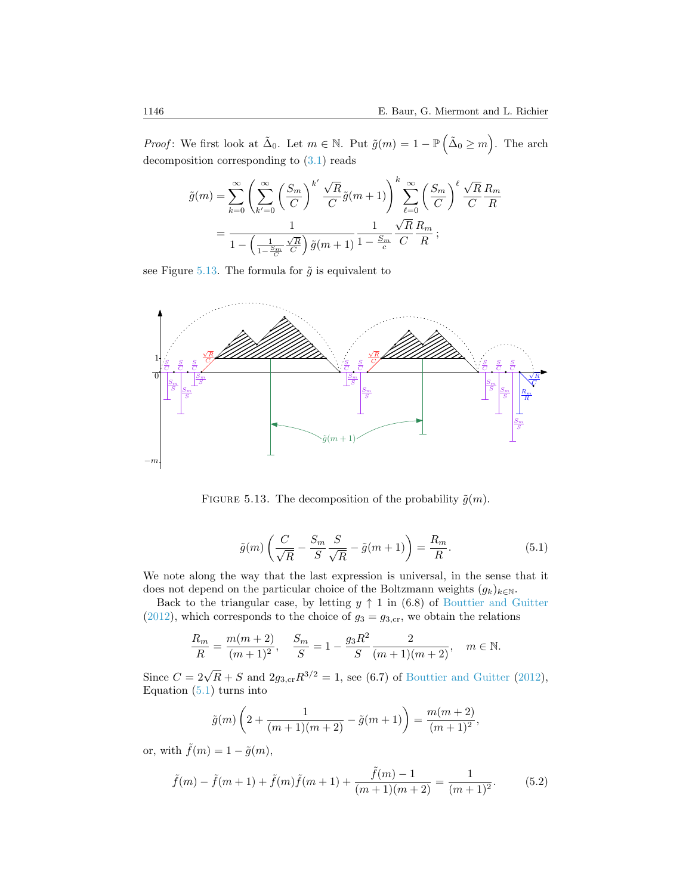*Proof*: We first look at  $\tilde{\Delta}_0$ . Let  $m \in \mathbb{N}$ . Put  $\tilde{g}(m) = 1 - \mathbb{P}(\tilde{\Delta}_0 \ge m)$ . The arch decomposition corresponding to [\(3.1\)](#page-9-2) reads

$$
\tilde{g}(m) = \sum_{k=0}^{\infty} \left( \sum_{k'=0}^{\infty} \left( \frac{S_m}{C} \right)^{k'} \frac{\sqrt{R}}{C} \tilde{g}(m+1) \right)^k \sum_{\ell=0}^{\infty} \left( \frac{S_m}{C} \right)^{\ell} \frac{\sqrt{R}}{C} \frac{R_m}{R}
$$

$$
= \frac{1}{1 - \left( \frac{1}{1 - \frac{S_m}{C}} \frac{\sqrt{R}}{C} \right) \tilde{g}(m+1)} \frac{1}{1 - \frac{S_m}{c}} \frac{\sqrt{R}}{C} \frac{R_m}{R};
$$

see Figure [5.13.](#page-23-0) The formula for  $\tilde{g}$  is equivalent to



FIGURE 5.13. The decomposition of the probability  $\tilde{g}(m)$ .

<span id="page-23-1"></span><span id="page-23-0"></span>
$$
\tilde{g}(m)\left(\frac{C}{\sqrt{R}} - \frac{S_m}{S} \frac{S}{\sqrt{R}} - \tilde{g}(m+1)\right) = \frac{R_m}{R}.\tag{5.1}
$$

We note along the way that the last expression is universal, in the sense that it does not depend on the particular choice of the Boltzmann weights  $(g_k)_{k\in\mathbb{N}}$ .

Back to the triangular case, by letting  $y \uparrow 1$  in (6.8) of [Bouttier and Guitter](#page-25-9) [\(2012\)](#page-25-9), which corresponds to the choice of  $g_3 = g_{3,\text{cr}}$ , we obtain the relations

$$
\frac{R_m}{R} = \frac{m(m+2)}{(m+1)^2}, \quad \frac{S_m}{S} = 1 - \frac{g_3 R^2}{S} \frac{2}{(m+1)(m+2)}, \quad m \in \mathbb{N}.
$$

Since  $C = 2\sqrt{R} + S$  and  $2g_{3,\text{cr}}R^{3/2} = 1$ , see (6.7) of [Bouttier and Guitter](#page-25-9) [\(2012\)](#page-25-9), Equation  $(5.1)$  turns into

$$
\tilde{g}(m)\left(2+\frac{1}{(m+1)(m+2)}-\tilde{g}(m+1)\right)=\frac{m(m+2)}{(m+1)^2},\,
$$

or, with  $\tilde{f}(m) = 1 - \tilde{g}(m)$ ,

<span id="page-23-2"></span>
$$
\tilde{f}(m) - \tilde{f}(m+1) + \tilde{f}(m)\tilde{f}(m+1) + \frac{\tilde{f}(m) - 1}{(m+1)(m+2)} = \frac{1}{(m+1)^2}.
$$
\n(5.2)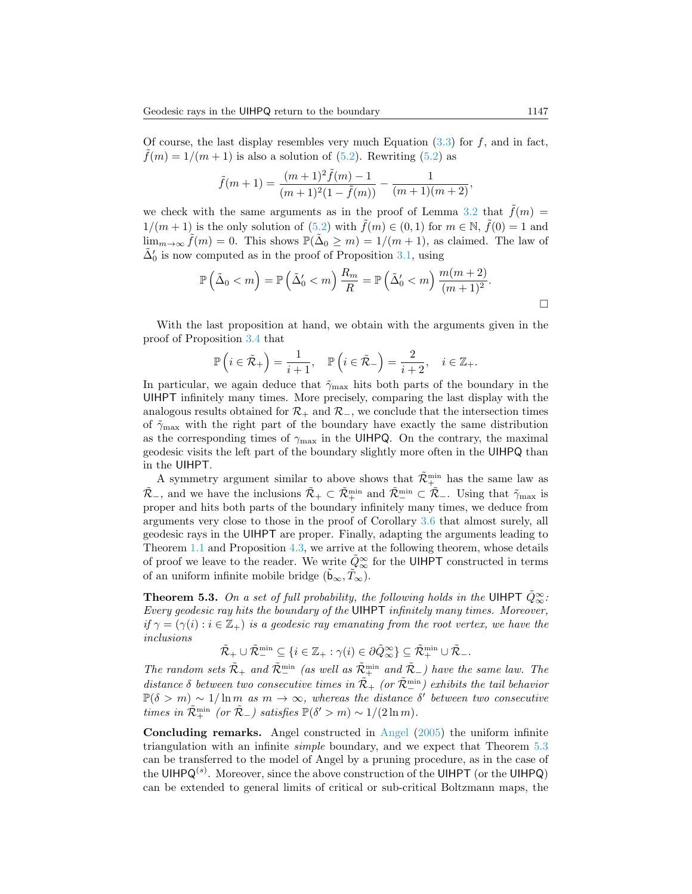Of course, the last display resembles very much Equation  $(3.3)$  for f, and in fact,  $\tilde{f}(m) = 1/(m+1)$  is also a solution of [\(5.2\)](#page-23-2). Rewriting (5.2) as

$$
\tilde{f}(m+1) = \frac{(m+1)^2 \tilde{f}(m) - 1}{(m+1)^2 (1 - \tilde{f}(m))} - \frac{1}{(m+1)(m+2)},
$$

we check with the same arguments as in the proof of Lemma [3.2](#page-10-4) that  $\tilde{f}(m)$  =  $1/(m+1)$  is the only solution of  $(5.2)$  with  $\tilde{f}(m) \in (0,1)$  for  $m \in \mathbb{N}$ ,  $\tilde{f}(0) = 1$  and lim<sub>m→∞</sub>  $\tilde{f}(m) = 0$ . This shows  $\mathbb{P}(\tilde{\Delta}_0 \geq m) = 1/(m+1)$ , as claimed. The law of  $\tilde{\Delta}'_0$  is now computed as in the proof of Proposition [3.1,](#page-9-0) using

$$
\mathbb{P}\left(\tilde{\Delta}_0 < m\right) = \mathbb{P}\left(\tilde{\Delta}'_0 < m\right) \frac{R_m}{R} = \mathbb{P}\left(\tilde{\Delta}'_0 < m\right) \frac{m(m+2)}{(m+1)^2}.
$$

With the last proposition at hand, we obtain with the arguments given in the proof of Proposition [3.4](#page-13-1) that

$$
\mathbb{P}\left(i \in \tilde{\mathcal{R}}_{+}\right) = \frac{1}{i+1}, \quad \mathbb{P}\left(i \in \tilde{\mathcal{R}}_{-}\right) = \frac{2}{i+2}, \quad i \in \mathbb{Z}_{+}.
$$

In particular, we again deduce that  $\tilde{\gamma}_{\text{max}}$  hits both parts of the boundary in the UIHPT infinitely many times. More precisely, comparing the last display with the analogous results obtained for  $\mathcal{R}_+$  and  $\mathcal{R}_-$ , we conclude that the intersection times of  $\tilde{\gamma}_{\text{max}}$  with the right part of the boundary have exactly the same distribution as the corresponding times of  $\gamma_{\text{max}}$  in the UIHPQ. On the contrary, the maximal geodesic visits the left part of the boundary slightly more often in the UIHPQ than in the UIHPT.

A symmetry argument similar to above shows that  $\tilde{\mathcal{R}}_{+}^{\min}$  has the same law as  $\tilde{\mathcal{R}}_{-}$ , and we have the inclusions  $\tilde{\mathcal{R}}_{+} \subset \tilde{\mathcal{R}}_{+}^{\min}$  and  $\tilde{\mathcal{R}}_{-}^{\min} \subset \tilde{\mathcal{R}}_{-}$ . Using that  $\tilde{\gamma}_{\max}$  is proper and hits both parts of the boundary infinitely many times, we deduce from arguments very close to those in the proof of Corollary [3.6](#page-14-0) that almost surely, all geodesic rays in the UIHPT are proper. Finally, adapting the arguments leading to Theorem [1.1](#page-1-0) and Proposition [4.3,](#page-18-0) we arrive at the following theorem, whose details of proof we leave to the reader. We write  $\tilde{Q}^{\infty}_{\infty}$  for the UIHPT constructed in terms of an uniform infinite mobile bridge  $(\mathfrak{b}_{\infty}, \tilde{T}_{\infty})$ .

<span id="page-24-0"></span>**Theorem 5.3.** On a set of full probability, the following holds in the UIHPT  $\tilde{Q}_{\infty}^{\infty}$ : Every geodesic ray hits the boundary of the UIHPT infinitely many times. Moreover, if  $\gamma = (\gamma(i) : i \in \mathbb{Z}_+)$  is a geodesic ray emanating from the root vertex, we have the inclusions

$$
\tilde{\mathcal{R}}_+ \cup \tilde{\mathcal{R}}_-^{\min} \subseteq \{ i \in \mathbb{Z}_+ : \gamma(i) \in \partial \tilde{Q}_\infty^{\infty} \} \subseteq \tilde{\mathcal{R}}_+^{\min} \cup \tilde{\mathcal{R}}_-.
$$

The random sets  $\tilde{\mathcal{R}}_+$  and  $\tilde{\mathcal{R}}_-^{\min}$  (as well as  $\tilde{\mathcal{R}}_+^{\min}$  and  $\tilde{\mathcal{R}}_-$ ) have the same law. The distance  $\delta$  between two consecutive times in  $\tilde{\mathcal{R}}_+$  (or  $\tilde{\mathcal{R}}_-^{\min}$ ) exhibits the tail behavior  $\mathbb{P}(\delta > m) \sim 1/\ln m$  as  $m \to \infty$ , whereas the distance  $\delta'$  between two consecutive times in  $\tilde{\mathcal{R}}_+^{\min}$  (or  $\tilde{\mathcal{R}}_-$ ) satisfies  $\mathbb{P}(\delta' > m) \sim 1/(2 \ln m)$ .

Concluding remarks. Angel constructed in [Angel](#page-25-5) [\(2005\)](#page-25-5) the uniform infinite triangulation with an infinite simple boundary, and we expect that Theorem [5.3](#page-24-0) can be transferred to the model of Angel by a pruning procedure, as in the case of the UIHPQ<sup>(s)</sup>. Moreover, since the above construction of the UIHPT (or the UIHPQ) can be extended to general limits of critical or sub-critical Boltzmann maps, the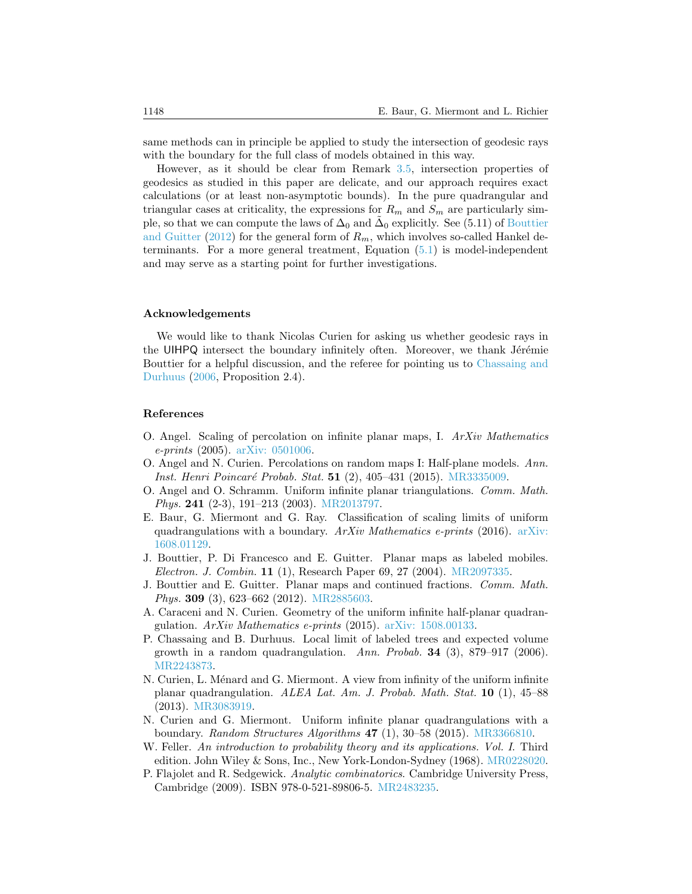same methods can in principle be applied to study the intersection of geodesic rays with the boundary for the full class of models obtained in this way.

However, as it should be clear from Remark [3.5,](#page-13-0) intersection properties of geodesics as studied in this paper are delicate, and our approach requires exact calculations (or at least non-asymptotic bounds). In the pure quadrangular and triangular cases at criticality, the expressions for  $R_m$  and  $S_m$  are particularly simple, so that we can compute the laws of  $\Delta_0$  and  $\tilde{\Delta}_0$  explicitly. See (5.11) of [Bouttier](#page-25-9) [and Guitter](#page-25-9) [\(2012\)](#page-25-9) for the general form of  $R_m$ , which involves so-called Hankel determinants. For a more general treatment, Equation [\(5.1\)](#page-23-1) is model-independent and may serve as a starting point for further investigations.

#### Acknowledgements

We would like to thank Nicolas Curien for asking us whether geodesic rays in the UIHPQ intersect the boundary infinitely often. Moreover, we thank Jérémie Bouttier for a helpful discussion, and the referee for pointing us to [Chassaing and](#page-25-10) [Durhuus](#page-25-10) [\(2006,](#page-25-10) Proposition 2.4).

#### References

- <span id="page-25-5"></span>O. Angel. Scaling of percolation on infinite planar maps, I.  $ArXiv$  Mathematics e-prints (2005). [arXiv: 0501006.](http://arxiv.org/abs/math/0501006)
- <span id="page-25-3"></span>O. Angel and N. Curien. Percolations on random maps I: Half-plane models. Ann. Inst. Henri Poincaré Probab. Stat. 51 (2), 405–431 (2015). [MR3335009.](http://www.ams.org/mathscinet-getitem?mr=MR3335009)
- <span id="page-25-1"></span>O. Angel and O. Schramm. Uniform infinite planar triangulations. Comm. Math. Phys. 241 (2-3), 191–213 (2003). [MR2013797.](http://www.ams.org/mathscinet-getitem?mr=MR2013797)
- <span id="page-25-7"></span>E. Baur, G. Miermont and G. Ray. Classification of scaling limits of uniform quadrangulations with a boundary.  $ArXiv$  Mathematics e-prints (2016). [arXiv:](http://arxiv.org/abs/1608.01129) [1608.01129.](http://arxiv.org/abs/1608.01129)
- <span id="page-25-6"></span>J. Bouttier, P. Di Francesco and E. Guitter. Planar maps as labeled mobiles. Electron. J. Combin. 11 (1), Research Paper 69, 27 (2004). [MR2097335.](http://www.ams.org/mathscinet-getitem?mr=MR2097335)
- <span id="page-25-9"></span>J. Bouttier and E. Guitter. Planar maps and continued fractions. Comm. Math. Phys. 309 (3), 623–662 (2012). [MR2885603.](http://www.ams.org/mathscinet-getitem?mr=MR2885603)
- <span id="page-25-0"></span>A. Caraceni and N. Curien. Geometry of the uniform infinite half-planar quadrangulation. ArXiv Mathematics e-prints (2015). [arXiv: 1508.00133.](http://arxiv.org/abs/1508.00133)
- <span id="page-25-10"></span>P. Chassaing and B. Durhuus. Local limit of labeled trees and expected volume growth in a random quadrangulation. Ann. Probab. 34 (3), 879–917 (2006). [MR2243873.](http://www.ams.org/mathscinet-getitem?mr=MR2243873)
- <span id="page-25-2"></span>N. Curien, L. Ménard and G. Miermont. A view from infinity of the uniform infinite planar quadrangulation. ALEA Lat. Am. J. Probab. Math. Stat. 10 (1), 45–88 (2013). [MR3083919.](http://www.ams.org/mathscinet-getitem?mr=MR3083919)
- <span id="page-25-4"></span>N. Curien and G. Miermont. Uniform infinite planar quadrangulations with a boundary. Random Structures Algorithms  $47$  (1), 30–58 (2015). [MR3366810.](http://www.ams.org/mathscinet-getitem?mr=MR3366810)
- <span id="page-25-11"></span>W. Feller. An introduction to probability theory and its applications. Vol. I. Third edition. John Wiley & Sons, Inc., New York-London-Sydney (1968). [MR0228020.](http://www.ams.org/mathscinet-getitem?mr=MR0228020)
- <span id="page-25-8"></span>P. Flajolet and R. Sedgewick. Analytic combinatorics. Cambridge University Press, Cambridge (2009). ISBN 978-0-521-89806-5. [MR2483235.](http://www.ams.org/mathscinet-getitem?mr=MR2483235)